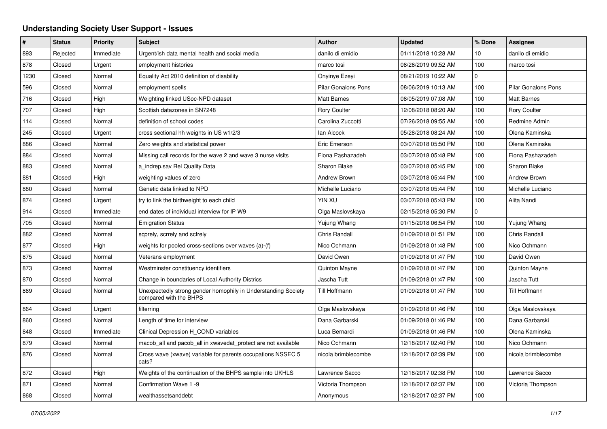## **Understanding Society User Support - Issues**

| $\pmb{\#}$ | <b>Status</b> | <b>Priority</b> | <b>Subject</b>                                                                          | Author                     | <b>Updated</b>      | % Done          | Assignee                   |
|------------|---------------|-----------------|-----------------------------------------------------------------------------------------|----------------------------|---------------------|-----------------|----------------------------|
| 893        | Rejected      | Immediate       | Urgent/ish data mental health and social media                                          | danilo di emidio           | 01/11/2018 10:28 AM | 10 <sup>1</sup> | danilo di emidio           |
| 878        | Closed        | Urgent          | employment histories                                                                    | marco tosi                 | 08/26/2019 09:52 AM | 100             | marco tosi                 |
| 1230       | Closed        | Normal          | Equality Act 2010 definition of disability                                              | Onyinye Ezeyi              | 08/21/2019 10:22 AM | $\mathbf 0$     |                            |
| 596        | Closed        | Normal          | employment spells                                                                       | <b>Pilar Gonalons Pons</b> | 08/06/2019 10:13 AM | 100             | <b>Pilar Gonalons Pons</b> |
| 716        | Closed        | High            | Weighting linked USoc-NPD dataset                                                       | <b>Matt Barnes</b>         | 08/05/2019 07:08 AM | 100             | <b>Matt Barnes</b>         |
| 707        | Closed        | High            | Scottish datazones in SN7248                                                            | <b>Rory Coulter</b>        | 12/08/2018 08:20 AM | 100             | <b>Rory Coulter</b>        |
| 114        | Closed        | Normal          | definition of school codes                                                              | Carolina Zuccotti          | 07/26/2018 09:55 AM | 100             | Redmine Admin              |
| 245        | Closed        | Urgent          | cross sectional hh weights in US w1/2/3                                                 | lan Alcock                 | 05/28/2018 08:24 AM | 100             | Olena Kaminska             |
| 886        | Closed        | Normal          | Zero weights and statistical power                                                      | Eric Emerson               | 03/07/2018 05:50 PM | 100             | Olena Kaminska             |
| 884        | Closed        | Normal          | Missing call records for the wave 2 and wave 3 nurse visits                             | Fiona Pashazadeh           | 03/07/2018 05:48 PM | 100             | Fiona Pashazadeh           |
| 883        | Closed        | Normal          | a indrep.sav Rel Quality Data                                                           | <b>Sharon Blake</b>        | 03/07/2018 05:45 PM | 100             | Sharon Blake               |
| 881        | Closed        | High            | weighting values of zero                                                                | Andrew Brown               | 03/07/2018 05:44 PM | 100             | Andrew Brown               |
| 880        | Closed        | Normal          | Genetic data linked to NPD                                                              | Michelle Luciano           | 03/07/2018 05:44 PM | 100             | Michelle Luciano           |
| 874        | Closed        | Urgent          | try to link the birthweight to each child                                               | YIN XU                     | 03/07/2018 05:43 PM | 100             | Alita Nandi                |
| 914        | Closed        | Immediate       | end dates of individual interview for IP W9                                             | Olga Maslovskaya           | 02/15/2018 05:30 PM | $\Omega$        |                            |
| 705        | Closed        | Normal          | <b>Emigration Status</b>                                                                | Yujung Whang               | 01/15/2018 06:54 PM | 100             | Yujung Whang               |
| 882        | Closed        | Normal          | scprely, scrrely and scfrely                                                            | Chris Randall              | 01/09/2018 01:51 PM | 100             | <b>Chris Randall</b>       |
| 877        | Closed        | High            | weights for pooled cross-sections over waves (a)-(f)                                    | Nico Ochmann               | 01/09/2018 01:48 PM | 100             | Nico Ochmann               |
| 875        | Closed        | Normal          | Veterans employment                                                                     | David Owen                 | 01/09/2018 01:47 PM | 100             | David Owen                 |
| 873        | Closed        | Normal          | Westminster constituency identifiers                                                    | Quinton Mayne              | 01/09/2018 01:47 PM | 100             | Quinton Mayne              |
| 870        | Closed        | Normal          | Change in boundaries of Local Authority Districs                                        | Jascha Tutt                | 01/09/2018 01:47 PM | 100             | Jascha Tutt                |
| 869        | Closed        | Normal          | Unexpectedly strong gender homophily in Understanding Society<br>compared with the BHPS | Till Hoffmann              | 01/09/2018 01:47 PM | 100             | Till Hoffmann              |
| 864        | Closed        | Urgent          | filterring                                                                              | Olga Maslovskaya           | 01/09/2018 01:46 PM | 100             | Olga Maslovskaya           |
| 860        | Closed        | Normal          | Length of time for interview                                                            | Dana Garbarski             | 01/09/2018 01:46 PM | 100             | Dana Garbarski             |
| 848        | Closed        | Immediate       | Clinical Depression H COND variables                                                    | Luca Bernardi              | 01/09/2018 01:46 PM | 100             | Olena Kaminska             |
| 879        | Closed        | Normal          | macob all and pacob all in xwavedat protect are not available                           | Nico Ochmann               | 12/18/2017 02:40 PM | 100             | Nico Ochmann               |
| 876        | Closed        | Normal          | Cross wave (xwave) variable for parents occupations NSSEC 5<br>cats?                    | nicola brimblecombe        | 12/18/2017 02:39 PM | 100             | nicola brimblecombe        |
| 872        | Closed        | High            | Weights of the continuation of the BHPS sample into UKHLS                               | Lawrence Sacco             | 12/18/2017 02:38 PM | 100             | Lawrence Sacco             |
| 871        | Closed        | Normal          | Confirmation Wave 1 -9                                                                  | Victoria Thompson          | 12/18/2017 02:37 PM | 100             | Victoria Thompson          |
| 868        | Closed        | Normal          | wealthassetsanddebt                                                                     | Anonymous                  | 12/18/2017 02:37 PM | 100             |                            |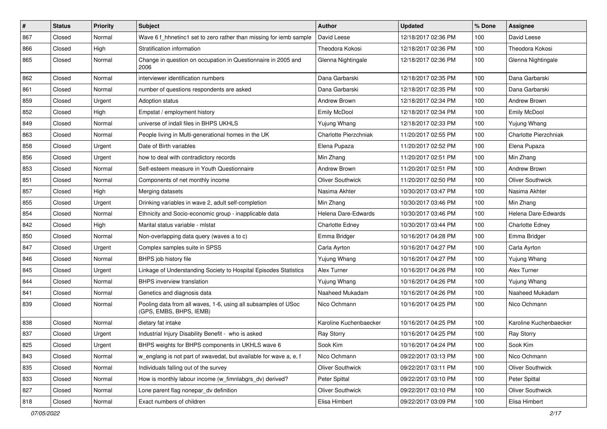| #   | <b>Status</b> | <b>Priority</b> | Subject                                                                                   | <b>Author</b>           | <b>Updated</b>      | % Done | <b>Assignee</b>         |
|-----|---------------|-----------------|-------------------------------------------------------------------------------------------|-------------------------|---------------------|--------|-------------------------|
| 867 | Closed        | Normal          | Wave 6 f hhnetinc1 set to zero rather than missing for iemb sample                        | David Leese             | 12/18/2017 02:36 PM | 100    | David Leese             |
| 866 | Closed        | High            | Stratification information                                                                | Theodora Kokosi         | 12/18/2017 02:36 PM | 100    | Theodora Kokosi         |
| 865 | Closed        | Normal          | Change in question on occupation in Questionnaire in 2005 and<br>2006                     | Glenna Nightingale      | 12/18/2017 02:36 PM | 100    | Glenna Nightingale      |
| 862 | Closed        | Normal          | interviewer identification numbers                                                        | Dana Garbarski          | 12/18/2017 02:35 PM | 100    | Dana Garbarski          |
| 861 | Closed        | Normal          | number of questions respondents are asked                                                 | Dana Garbarski          | 12/18/2017 02:35 PM | 100    | Dana Garbarski          |
| 859 | Closed        | Urgent          | Adoption status                                                                           | Andrew Brown            | 12/18/2017 02:34 PM | 100    | Andrew Brown            |
| 852 | Closed        | High            | Empstat / employment history                                                              | <b>Emily McDool</b>     | 12/18/2017 02:34 PM | 100    | Emily McDool            |
| 849 | Closed        | Normal          | universe of indall files in BHPS UKHLS                                                    | Yujung Whang            | 12/18/2017 02:33 PM | 100    | Yujung Whang            |
| 863 | Closed        | Normal          | People living in Multi-generational homes in the UK                                       | Charlotte Pierzchniak   | 11/20/2017 02:55 PM | 100    | Charlotte Pierzchniak   |
| 858 | Closed        | Urgent          | Date of Birth variables                                                                   | Elena Pupaza            | 11/20/2017 02:52 PM | 100    | Elena Pupaza            |
| 856 | Closed        | Urgent          | how to deal with contradictory records                                                    | Min Zhang               | 11/20/2017 02:51 PM | 100    | Min Zhang               |
| 853 | Closed        | Normal          | Self-esteem measure in Youth Questionnaire                                                | Andrew Brown            | 11/20/2017 02:51 PM | 100    | Andrew Brown            |
| 851 | Closed        | Normal          | Components of net monthly income                                                          | <b>Oliver Southwick</b> | 11/20/2017 02:50 PM | 100    | <b>Oliver Southwick</b> |
| 857 | Closed        | High            | Merging datasets                                                                          | Nasima Akhter           | 10/30/2017 03:47 PM | 100    | Nasima Akhter           |
| 855 | Closed        | Urgent          | Drinking variables in wave 2, adult self-completion                                       | Min Zhang               | 10/30/2017 03:46 PM | 100    | Min Zhang               |
| 854 | Closed        | Normal          | Ethnicity and Socio-economic group - inapplicable data                                    | Helena Dare-Edwards     | 10/30/2017 03:46 PM | 100    | Helena Dare-Edwards     |
| 842 | Closed        | High            | Marital status variable - mistat                                                          | <b>Charlotte Edney</b>  | 10/30/2017 03:44 PM | 100    | Charlotte Edney         |
| 850 | Closed        | Normal          | Non-overlapping data query (waves a to c)                                                 | Emma Bridger            | 10/16/2017 04:28 PM | 100    | Emma Bridger            |
| 847 | Closed        | Urgent          | Complex samples suite in SPSS                                                             | Carla Ayrton            | 10/16/2017 04:27 PM | 100    | Carla Ayrton            |
| 846 | Closed        | Normal          | BHPS job history file                                                                     | Yujung Whang            | 10/16/2017 04:27 PM | 100    | Yujung Whang            |
| 845 | Closed        | Urgent          | Linkage of Understanding Society to Hospital Episodes Statistics                          | Alex Turner             | 10/16/2017 04:26 PM | 100    | Alex Turner             |
| 844 | Closed        | Normal          | BHPS inverview translation                                                                | Yujung Whang            | 10/16/2017 04:26 PM | 100    | Yujung Whang            |
| 841 | Closed        | Normal          | Genetics and diagnosis data                                                               | Naaheed Mukadam         | 10/16/2017 04:26 PM | 100    | Naaheed Mukadam         |
| 839 | Closed        | Normal          | Pooling data from all waves, 1-6, using all subsamples of USoc<br>(GPS, EMBS, BHPS, IEMB) | Nico Ochmann            | 10/16/2017 04:25 PM | 100    | Nico Ochmann            |
| 838 | Closed        | Normal          | dietary fat intake                                                                        | Karoline Kuchenbaecker  | 10/16/2017 04:25 PM | 100    | Karoline Kuchenbaecker  |
| 837 | Closed        | Urgent          | Industrial Injury Disability Benefit - who is asked                                       | <b>Ray Storry</b>       | 10/16/2017 04:25 PM | 100    | <b>Ray Storry</b>       |
| 825 | Closed        | Urgent          | BHPS weights for BHPS components in UKHLS wave 6                                          | Sook Kim                | 10/16/2017 04:24 PM | 100    | Sook Kim                |
| 843 | Closed        | Normal          | w_englang is not part of xwavedat, but available for wave a, e, f                         | Nico Ochmann            | 09/22/2017 03:13 PM | 100    | Nico Ochmann            |
| 835 | Closed        | Normal          | Individuals falling out of the survey                                                     | Oliver Southwick        | 09/22/2017 03:11 PM | 100    | Oliver Southwick        |
| 833 | Closed        | Normal          | How is monthly labour income (w_fimnlabgrs_dv) derived?                                   | Peter Spittal           | 09/22/2017 03:10 PM | 100    | Peter Spittal           |
| 827 | Closed        | Normal          | Lone parent flag nonepar_dv definition                                                    | Oliver Southwick        | 09/22/2017 03:10 PM | 100    | Oliver Southwick        |
| 818 | Closed        | Normal          | Exact numbers of children                                                                 | Elisa Himbert           | 09/22/2017 03:09 PM | 100    | Elisa Himbert           |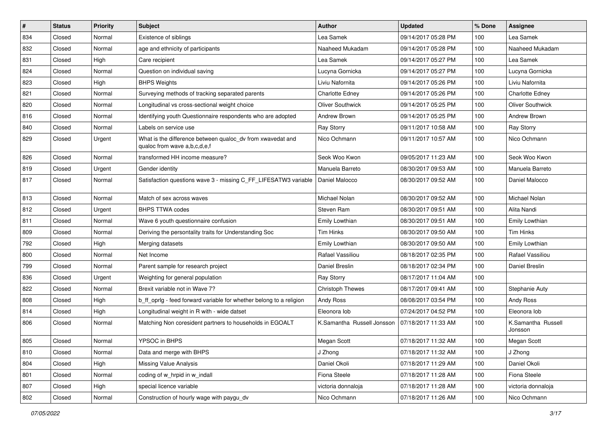| $\sharp$ | <b>Status</b> | <b>Priority</b> | Subject                                                                                    | Author                     | <b>Updated</b>      | % Done | <b>Assignee</b>               |
|----------|---------------|-----------------|--------------------------------------------------------------------------------------------|----------------------------|---------------------|--------|-------------------------------|
| 834      | Closed        | Normal          | Existence of siblings                                                                      | Lea Samek                  | 09/14/2017 05:28 PM | 100    | Lea Samek                     |
| 832      | Closed        | Normal          | age and ethnicity of participants                                                          | Naaheed Mukadam            | 09/14/2017 05:28 PM | 100    | Naaheed Mukadam               |
| 831      | Closed        | High            | Care recipient                                                                             | Lea Samek                  | 09/14/2017 05:27 PM | 100    | Lea Samek                     |
| 824      | Closed        | Normal          | Question on individual saving                                                              | Lucyna Gornicka            | 09/14/2017 05:27 PM | 100    | Lucyna Gornicka               |
| 823      | Closed        | High            | <b>BHPS Weights</b>                                                                        | Liviu Nafornita            | 09/14/2017 05:26 PM | 100    | Liviu Nafornita               |
| 821      | Closed        | Normal          | Surveying methods of tracking separated parents                                            | Charlotte Edney            | 09/14/2017 05:26 PM | 100    | Charlotte Edney               |
| 820      | Closed        | Normal          | Longitudinal vs cross-sectional weight choice                                              | <b>Oliver Southwick</b>    | 09/14/2017 05:25 PM | 100    | Oliver Southwick              |
| 816      | Closed        | Normal          | Identifying youth Questionnaire respondents who are adopted                                | Andrew Brown               | 09/14/2017 05:25 PM | 100    | Andrew Brown                  |
| 840      | Closed        | Normal          | Labels on service use                                                                      | <b>Ray Storry</b>          | 09/11/2017 10:58 AM | 100    | <b>Ray Storry</b>             |
| 829      | Closed        | Urgent          | What is the difference between qualoc_dv from xwavedat and<br>qualoc from wave a,b,c,d,e,f | Nico Ochmann               | 09/11/2017 10:57 AM | 100    | Nico Ochmann                  |
| 826      | Closed        | Normal          | transformed HH income measure?                                                             | Seok Woo Kwon              | 09/05/2017 11:23 AM | 100    | Seok Woo Kwon                 |
| 819      | Closed        | Urgent          | Gender identity                                                                            | Manuela Barreto            | 08/30/2017 09:53 AM | 100    | Manuela Barreto               |
| 817      | Closed        | Normal          | Satisfaction questions wave 3 - missing C_FF_LIFESATW3 variable                            | Daniel Malocco             | 08/30/2017 09:52 AM | 100    | Daniel Malocco                |
| 813      | Closed        | Normal          | Match of sex across waves                                                                  | Michael Nolan              | 08/30/2017 09:52 AM | 100    | Michael Nolan                 |
| 812      | Closed        | Urgent          | <b>BHPS TTWA codes</b>                                                                     | Steven Ram                 | 08/30/2017 09:51 AM | 100    | Alita Nandi                   |
| 811      | Closed        | Normal          | Wave 6 youth questionnaire confusion                                                       | Emily Lowthian             | 08/30/2017 09:51 AM | 100    | Emily Lowthian                |
| 809      | Closed        | Normal          | Deriving the persontality traits for Understanding Soc                                     | <b>Tim Hinks</b>           | 08/30/2017 09:50 AM | 100    | <b>Tim Hinks</b>              |
| 792      | Closed        | High            | Merging datasets                                                                           | Emily Lowthian             | 08/30/2017 09:50 AM | 100    | Emily Lowthian                |
| 800      | Closed        | Normal          | Net Income                                                                                 | Rafael Vassiliou           | 08/18/2017 02:35 PM | 100    | Rafael Vassiliou              |
| 799      | Closed        | Normal          | Parent sample for research project                                                         | Daniel Breslin             | 08/18/2017 02:34 PM | 100    | Daniel Breslin                |
| 836      | Closed        | Urgent          | Weighting for general population                                                           | <b>Ray Storry</b>          | 08/17/2017 11:04 AM | 100    |                               |
| 822      | Closed        | Normal          | Brexit variable not in Wave 7?                                                             | Christoph Thewes           | 08/17/2017 09:41 AM | 100    | Stephanie Auty                |
| 808      | Closed        | High            | b_ff_oprlg - feed forward variable for whether belong to a religion                        | Andy Ross                  | 08/08/2017 03:54 PM | 100    | Andy Ross                     |
| 814      | Closed        | High            | Longitudinal weight in R with - wide datset                                                | Eleonora lob               | 07/24/2017 04:52 PM | 100    | Eleonora lob                  |
| 806      | Closed        | Normal          | Matching Non coresident partners to households in EGOALT                                   | K.Samantha Russell Jonsson | 07/18/2017 11:33 AM | 100    | K.Samantha Russell<br>Jonsson |
| 805      | Closed        | Normal          | YPSOC in BHPS                                                                              | Megan Scott                | 07/18/2017 11:32 AM | 100    | Megan Scott                   |
| 810      | Closed        | Normal          | Data and merge with BHPS                                                                   | J Zhong                    | 07/18/2017 11:32 AM | 100    | J Zhong                       |
| 804      | Closed        | High            | <b>Missing Value Analysis</b>                                                              | Daniel Okoli               | 07/18/2017 11:29 AM | 100    | Daniel Okoli                  |
| 801      | Closed        | Normal          | coding of w hrpid in w indall                                                              | Fiona Steele               | 07/18/2017 11:28 AM | 100    | Fiona Steele                  |
| 807      | Closed        | High            | special licence variable                                                                   | victoria donnaloja         | 07/18/2017 11:28 AM | 100    | victoria donnaloja            |
| 802      | Closed        | Normal          | Construction of hourly wage with paygu_dv                                                  | Nico Ochmann               | 07/18/2017 11:26 AM | 100    | Nico Ochmann                  |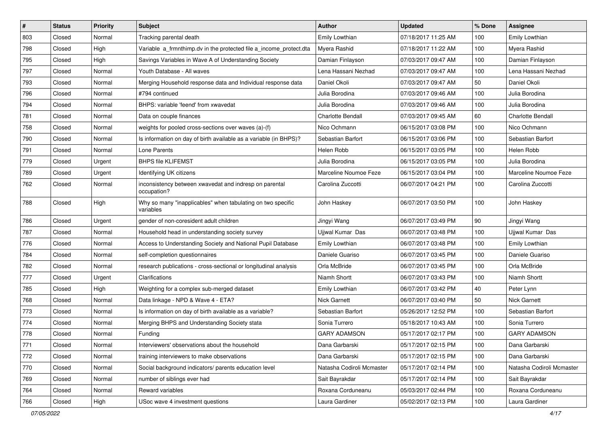| $\vert$ # | <b>Status</b> | <b>Priority</b> | Subject                                                                  | <b>Author</b>             | <b>Updated</b>      | % Done | <b>Assignee</b>           |
|-----------|---------------|-----------------|--------------------------------------------------------------------------|---------------------------|---------------------|--------|---------------------------|
| 803       | Closed        | Normal          | Tracking parental death                                                  | Emily Lowthian            | 07/18/2017 11:25 AM | 100    | Emily Lowthian            |
| 798       | Closed        | High            | Variable a_frmnthimp.dv in the protected file a_income_protect.dta       | Myera Rashid              | 07/18/2017 11:22 AM | 100    | Myera Rashid              |
| 795       | Closed        | High            | Savings Variables in Wave A of Understanding Society                     | Damian Finlayson          | 07/03/2017 09:47 AM | 100    | Damian Finlayson          |
| 797       | Closed        | Normal          | Youth Database - All waves                                               | Lena Hassani Nezhad       | 07/03/2017 09:47 AM | 100    | Lena Hassani Nezhad       |
| 793       | Closed        | Normal          | Merging Household response data and Individual response data             | Daniel Okoli              | 07/03/2017 09:47 AM | 50     | Daniel Okoli              |
| 796       | Closed        | Normal          | #794 continued                                                           | Julia Borodina            | 07/03/2017 09:46 AM | 100    | Julia Borodina            |
| 794       | Closed        | Normal          | BHPS: variable 'feend' from xwavedat                                     | Julia Borodina            | 07/03/2017 09:46 AM | 100    | Julia Borodina            |
| 781       | Closed        | Normal          | Data on couple finances                                                  | <b>Charlotte Bendall</b>  | 07/03/2017 09:45 AM | 60     | <b>Charlotte Bendall</b>  |
| 758       | Closed        | Normal          | weights for pooled cross-sections over waves (a)-(f)                     | Nico Ochmann              | 06/15/2017 03:08 PM | 100    | Nico Ochmann              |
| 790       | Closed        | Normal          | Is information on day of birth available as a variable (in BHPS)?        | Sebastian Barfort         | 06/15/2017 03:06 PM | 100    | Sebastian Barfort         |
| 791       | Closed        | Normal          | Lone Parents                                                             | Helen Robb                | 06/15/2017 03:05 PM | 100    | Helen Robb                |
| 779       | Closed        | Urgent          | <b>BHPS file KLIFEMST</b>                                                | Julia Borodina            | 06/15/2017 03:05 PM | 100    | Julia Borodina            |
| 789       | Closed        | Urgent          | Identifying UK citizens                                                  | Marceline Noumoe Feze     | 06/15/2017 03:04 PM | 100    | Marceline Noumoe Feze     |
| 762       | Closed        | Normal          | inconsistency between xwavedat and indresp on parental<br>occupation?    | Carolina Zuccotti         | 06/07/2017 04:21 PM | 100    | Carolina Zuccotti         |
| 788       | Closed        | High            | Why so many "inapplicables" when tabulating on two specific<br>variables | John Haskey               | 06/07/2017 03:50 PM | 100    | John Haskey               |
| 786       | Closed        | Urgent          | gender of non-coresident adult children                                  | Jingyi Wang               | 06/07/2017 03:49 PM | 90     | Jingyi Wang               |
| 787       | Closed        | Normal          | Household head in understanding society survey                           | Ujjwal Kumar Das          | 06/07/2017 03:48 PM | 100    | Ujjwal Kumar Das          |
| 776       | Closed        | Normal          | Access to Understanding Society and National Pupil Database              | Emily Lowthian            | 06/07/2017 03:48 PM | 100    | Emily Lowthian            |
| 784       | Closed        | Normal          | self-completion questionnaires                                           | Daniele Guariso           | 06/07/2017 03:45 PM | 100    | Daniele Guariso           |
| 782       | Closed        | Normal          | research publications - cross-sectional or longitudinal analysis         | Orla McBride              | 06/07/2017 03:45 PM | 100    | Orla McBride              |
| 777       | Closed        | Urgent          | Clarifications                                                           | Niamh Shortt              | 06/07/2017 03:43 PM | 100    | Niamh Shortt              |
| 785       | Closed        | High            | Weighting for a complex sub-merged dataset                               | Emily Lowthian            | 06/07/2017 03:42 PM | 40     | Peter Lynn                |
| 768       | Closed        | Normal          | Data linkage - NPD & Wave 4 - ETA?                                       | <b>Nick Garnett</b>       | 06/07/2017 03:40 PM | 50     | <b>Nick Garnett</b>       |
| 773       | Closed        | Normal          | Is information on day of birth available as a variable?                  | Sebastian Barfort         | 05/26/2017 12:52 PM | 100    | Sebastian Barfort         |
| 774       | Closed        | Normal          | Merging BHPS and Understanding Society stata                             | Sonia Turrero             | 05/18/2017 10:43 AM | 100    | Sonia Turrero             |
| 778       | Closed        | Normal          | Funding                                                                  | <b>GARY ADAMSON</b>       | 05/17/2017 02:17 PM | 100    | <b>GARY ADAMSON</b>       |
| 771       | Closed        | Normal          | Interviewers' observations about the household                           | Dana Garbarski            | 05/17/2017 02:15 PM | 100    | Dana Garbarski            |
| 772       | Closed        | Normal          | training interviewers to make observations                               | Dana Garbarski            | 05/17/2017 02:15 PM | 100    | Dana Garbarski            |
| 770       | Closed        | Normal          | Social background indicators/ parents education level                    | Natasha Codiroli Mcmaster | 05/17/2017 02:14 PM | 100    | Natasha Codiroli Mcmaster |
| 769       | Closed        | Normal          | number of siblings ever had                                              | Sait Bayrakdar            | 05/17/2017 02:14 PM | 100    | Sait Bayrakdar            |
| 764       | Closed        | Normal          | Reward variables                                                         | Roxana Corduneanu         | 05/03/2017 02:44 PM | 100    | Roxana Corduneanu         |
| 766       | Closed        | High            | USoc wave 4 investment questions                                         | Laura Gardiner            | 05/02/2017 02:13 PM | 100    | Laura Gardiner            |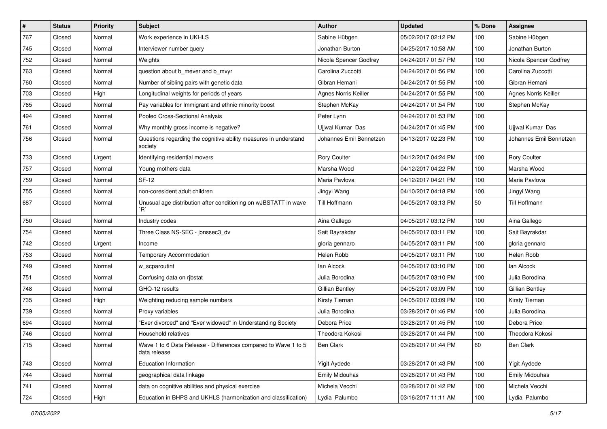| $\sharp$ | <b>Status</b> | <b>Priority</b> | Subject                                                                        | <b>Author</b>               | <b>Updated</b>      | % Done | Assignee                |
|----------|---------------|-----------------|--------------------------------------------------------------------------------|-----------------------------|---------------------|--------|-------------------------|
| 767      | Closed        | Normal          | Work experience in UKHLS                                                       | Sabine Hübgen               | 05/02/2017 02:12 PM | 100    | Sabine Hübgen           |
| 745      | Closed        | Normal          | Interviewer number query                                                       | Jonathan Burton             | 04/25/2017 10:58 AM | 100    | Jonathan Burton         |
| 752      | Closed        | Normal          | Weights                                                                        | Nicola Spencer Godfrey      | 04/24/2017 01:57 PM | 100    | Nicola Spencer Godfrey  |
| 763      | Closed        | Normal          | question about b_mever and b_mvyr                                              | Carolina Zuccotti           | 04/24/2017 01:56 PM | 100    | Carolina Zuccotti       |
| 760      | Closed        | Normal          | Number of sibling pairs with genetic data                                      | Gibran Hemani               | 04/24/2017 01:55 PM | 100    | Gibran Hemani           |
| 703      | Closed        | High            | Longitudinal weights for periods of years                                      | <b>Agnes Norris Keiller</b> | 04/24/2017 01:55 PM | 100    | Agnes Norris Keiller    |
| 765      | Closed        | Normal          | Pay variables for Immigrant and ethnic minority boost                          | Stephen McKay               | 04/24/2017 01:54 PM | 100    | Stephen McKay           |
| 494      | Closed        | Normal          | Pooled Cross-Sectional Analysis                                                | Peter Lynn                  | 04/24/2017 01:53 PM | 100    |                         |
| 761      | Closed        | Normal          | Why monthly gross income is negative?                                          | Ujjwal Kumar Das            | 04/24/2017 01:45 PM | 100    | Ujjwal Kumar Das        |
| 756      | Closed        | Normal          | Questions regarding the cognitive ability measures in understand<br>society    | Johannes Emil Bennetzen     | 04/13/2017 02:23 PM | 100    | Johannes Emil Bennetzen |
| 733      | Closed        | Urgent          | Identifying residential movers                                                 | Rory Coulter                | 04/12/2017 04:24 PM | 100    | Rory Coulter            |
| 757      | Closed        | Normal          | Young mothers data                                                             | Marsha Wood                 | 04/12/2017 04:22 PM | 100    | Marsha Wood             |
| 759      | Closed        | Normal          | <b>SF-12</b>                                                                   | Maria Pavlova               | 04/12/2017 04:21 PM | 100    | Maria Pavlova           |
| 755      | Closed        | Normal          | non-coresident adult children                                                  | Jingyi Wang                 | 04/10/2017 04:18 PM | 100    | Jingyi Wang             |
| 687      | Closed        | Normal          | Unusual age distribution after conditioning on wJBSTATT in wave<br>Ŕ,          | Till Hoffmann               | 04/05/2017 03:13 PM | 50     | <b>Till Hoffmann</b>    |
| 750      | Closed        | Normal          | Industry codes                                                                 | Aina Gallego                | 04/05/2017 03:12 PM | 100    | Aina Gallego            |
| 754      | Closed        | Normal          | Three Class NS-SEC - jbnssec3_dv                                               | Sait Bayrakdar              | 04/05/2017 03:11 PM | 100    | Sait Bayrakdar          |
| 742      | Closed        | Urgent          | Income                                                                         | gloria gennaro              | 04/05/2017 03:11 PM | 100    | gloria gennaro          |
| 753      | Closed        | Normal          | <b>Temporary Accommodation</b>                                                 | Helen Robb                  | 04/05/2017 03:11 PM | 100    | Helen Robb              |
| 749      | Closed        | Normal          | w_scparoutint                                                                  | lan Alcock                  | 04/05/2017 03:10 PM | 100    | lan Alcock              |
| 751      | Closed        | Normal          | Confusing data on rjbstat                                                      | Julia Borodina              | 04/05/2017 03:10 PM | 100    | Julia Borodina          |
| 748      | Closed        | Normal          | GHQ-12 results                                                                 | Gillian Bentley             | 04/05/2017 03:09 PM | 100    | Gillian Bentley         |
| 735      | Closed        | High            | Weighting reducing sample numbers                                              | Kirsty Tiernan              | 04/05/2017 03:09 PM | 100    | Kirsty Tiernan          |
| 739      | Closed        | Normal          | Proxy variables                                                                | Julia Borodina              | 03/28/2017 01:46 PM | 100    | Julia Borodina          |
| 694      | Closed        | Normal          | "Ever divorced" and "Ever widowed" in Understanding Society                    | Debora Price                | 03/28/2017 01:45 PM | 100    | Debora Price            |
| 746      | Closed        | Normal          | Household relatives                                                            | Theodora Kokosi             | 03/28/2017 01:44 PM | 100    | Theodora Kokosi         |
| 715      | Closed        | Normal          | Wave 1 to 6 Data Release - Differences compared to Wave 1 to 5<br>data release | Ben Clark                   | 03/28/2017 01:44 PM | 60     | <b>Ben Clark</b>        |
| 743      | Closed        | Normal          | Education Information                                                          | Yigit Aydede                | 03/28/2017 01:43 PM | 100    | <b>Yigit Aydede</b>     |
| 744      | Closed        | Normal          | geographical data linkage                                                      | <b>Emily Midouhas</b>       | 03/28/2017 01:43 PM | 100    | <b>Emily Midouhas</b>   |
| 741      | Closed        | Normal          | data on cognitive abilities and physical exercise                              | Michela Vecchi              | 03/28/2017 01:42 PM | 100    | Michela Vecchi          |
| 724      | Closed        | High            | Education in BHPS and UKHLS (harmonization and classification)                 | Lydia Palumbo               | 03/16/2017 11:11 AM | 100    | Lydia Palumbo           |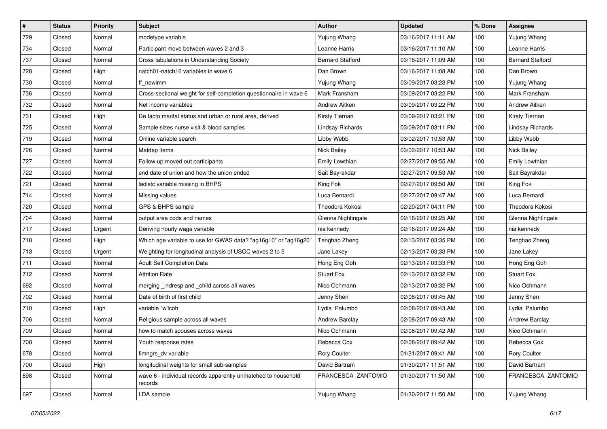| $\vert$ # | <b>Status</b> | <b>Priority</b> | <b>Subject</b>                                                           | <b>Author</b>           | <b>Updated</b>      | % Done | <b>Assignee</b>         |
|-----------|---------------|-----------------|--------------------------------------------------------------------------|-------------------------|---------------------|--------|-------------------------|
| 729       | Closed        | Normal          | modetype variable                                                        | Yujung Whang            | 03/16/2017 11:11 AM | 100    | Yujung Whang            |
| 734       | Closed        | Normal          | Participant move between waves 2 and 3                                   | Leanne Harris           | 03/16/2017 11:10 AM | 100    | Leanne Harris           |
| 737       | Closed        | Normal          | Cross tabulations in Understanding Society                               | <b>Bernard Stafford</b> | 03/16/2017 11:09 AM | 100    | <b>Bernard Stafford</b> |
| 728       | Closed        | High            | natch01-natch16 variables in wave 6                                      | Dan Brown               | 03/16/2017 11:08 AM | 100    | Dan Brown               |
| 730       | Closed        | Normal          | ff_newimm                                                                | Yujung Whang            | 03/09/2017 03:23 PM | 100    | Yujung Whang            |
| 736       | Closed        | Normal          | Cross-sectional weight for self-completion questionnaire in wave 6       | Mark Fransham           | 03/09/2017 03:22 PM | 100    | Mark Fransham           |
| 732       | Closed        | Normal          | Net income variables                                                     | Andrew Aitken           | 03/09/2017 03:22 PM | 100    | Andrew Aitken           |
| 731       | Closed        | High            | De facto marital status and urban or rural area, derived                 | Kirsty Tiernan          | 03/09/2017 03:21 PM | 100    | Kirsty Tiernan          |
| 725       | Closed        | Normal          | Sample sizes nurse visit & blood samples                                 | Lindsay Richards        | 03/09/2017 03:11 PM | 100    | Lindsay Richards        |
| 719       | Closed        | Normal          | Online variable search                                                   | Libby Webb              | 03/02/2017 10:53 AM | 100    | Libby Webb              |
| 726       | Closed        | Normal          | Matdep items                                                             | Nick Bailey             | 03/02/2017 10:53 AM | 100    | Nick Bailey             |
| 727       | Closed        | Normal          | Follow up moved out participants                                         | Emily Lowthian          | 02/27/2017 09:55 AM | 100    | Emily Lowthian          |
| 722       | Closed        | Normal          | end date of union and how the union ended                                | Sait Bayrakdar          | 02/27/2017 09:53 AM | 100    | Sait Bayrakdar          |
| 721       | Closed        | Normal          | ladistc variable missing in BHPS                                         | King Fok                | 02/27/2017 09:50 AM | 100    | King Fok                |
| 714       | Closed        | Normal          | Missing values                                                           | Luca Bernardi           | 02/27/2017 09:47 AM | 100    | Luca Bernardi           |
| 720       | Closed        | Normal          | GPS & BHPS sample                                                        | Theodora Kokosi         | 02/20/2017 04:11 PM | 100    | Theodora Kokosi         |
| 704       | Closed        | Normal          | output area cods and names                                               | Glenna Nightingale      | 02/16/2017 09:25 AM | 100    | Glenna Nightingale      |
| 717       | Closed        | Urgent          | Deriving hourly wage variable                                            | nia kennedy             | 02/16/2017 09:24 AM | 100    | nia kennedy             |
| 718       | Closed        | High            | Which age variable to use for GWAS data? "ag16g10" or "ag16g20"          | Tenghao Zheng           | 02/13/2017 03:35 PM | 100    | Tenghao Zheng           |
| 713       | Closed        | Urgent          | Weighting for longitudinal analysis of USOC waves 2 to 5                 | Jane Lakey              | 02/13/2017 03:33 PM | 100    | Jane Lakey              |
| 711       | Closed        | Normal          | Adult Self Completion Data                                               | Hong Eng Goh            | 02/13/2017 03:33 PM | 100    | Hong Eng Goh            |
| 712       | Closed        | Normal          | <b>Attrition Rate</b>                                                    | <b>Stuart Fox</b>       | 02/13/2017 03:32 PM | 100    | <b>Stuart Fox</b>       |
| 692       | Closed        | Normal          | merging _indresp and _child across all waves                             | Nico Ochmann            | 02/13/2017 03:32 PM | 100    | Nico Ochmann            |
| 702       | Closed        | Normal          | Date of birth of first child                                             | Jenny Shen              | 02/08/2017 09:45 AM | 100    | Jenny Shen              |
| 710       | Closed        | High            | variable `w'lcoh                                                         | Lydia Palumbo           | 02/08/2017 09:43 AM | 100    | Lydia Palumbo           |
| 706       | Closed        | Normal          | Religious sample across all waves                                        | Andrew Barclay          | 02/08/2017 09:43 AM | 100    | <b>Andrew Barclay</b>   |
| 709       | Closed        | Normal          | how to match spouses across waves                                        | Nico Ochmann            | 02/08/2017 09:42 AM | 100    | Nico Ochmann            |
| 708       | Closed        | Normal          | Youth response rates                                                     | Rebecca Cox             | 02/08/2017 09:42 AM | 100    | Rebecca Cox             |
| 678       | Closed        | Normal          | fimngrs dv variable                                                      | <b>Rory Coulter</b>     | 01/31/2017 09:41 AM | 100    | Rory Coulter            |
| 700       | Closed        | High            | longitudinal weights for small sub-samples                               | David Bartram           | 01/30/2017 11:51 AM | 100    | David Bartram           |
| 698       | Closed        | Normal          | wave 6 - individual records apparently unmatched to household<br>records | FRANCESCA ZANTOMIO      | 01/30/2017 11:50 AM | 100    | FRANCESCA ZANTOMIO      |
| 697       | Closed        | Normal          | LDA sample                                                               | Yujung Whang            | 01/30/2017 11:50 AM | 100    | Yujung Whang            |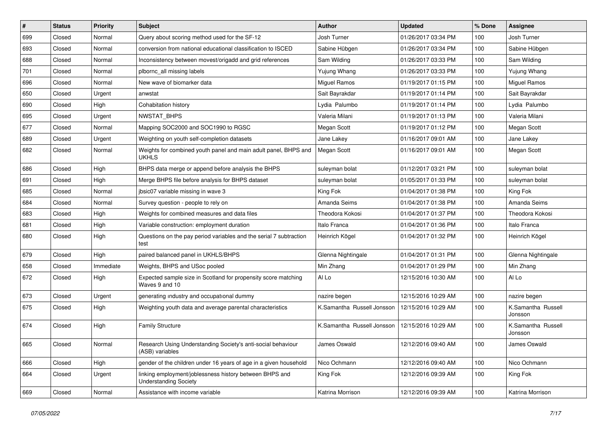| $\vert$ # | <b>Status</b> | <b>Priority</b> | <b>Subject</b>                                                                          | <b>Author</b>              | <b>Updated</b>      | % Done | <b>Assignee</b>               |
|-----------|---------------|-----------------|-----------------------------------------------------------------------------------------|----------------------------|---------------------|--------|-------------------------------|
| 699       | Closed        | Normal          | Query about scoring method used for the SF-12                                           | Josh Turner                | 01/26/2017 03:34 PM | 100    | Josh Turner                   |
| 693       | Closed        | Normal          | conversion from national educational classification to ISCED                            | Sabine Hübgen              | 01/26/2017 03:34 PM | 100    | Sabine Hübgen                 |
| 688       | Closed        | Normal          | Inconsistency between movest/origadd and grid references                                | Sam Wilding                | 01/26/2017 03:33 PM | 100    | Sam Wilding                   |
| 701       | Closed        | Normal          | plbornc_all missing labels                                                              | Yujung Whang               | 01/26/2017 03:33 PM | 100    | Yujung Whang                  |
| 696       | Closed        | Normal          | New wave of biomarker data                                                              | <b>Miguel Ramos</b>        | 01/19/2017 01:15 PM | 100    | <b>Miguel Ramos</b>           |
| 650       | Closed        | Urgent          | anwstat                                                                                 | Sait Bayrakdar             | 01/19/2017 01:14 PM | 100    | Sait Bayrakdar                |
| 690       | Closed        | High            | Cohabitation history                                                                    | Lydia Palumbo              | 01/19/2017 01:14 PM | 100    | Lydia Palumbo                 |
| 695       | Closed        | Urgent          | NWSTAT_BHPS                                                                             | Valeria Milani             | 01/19/2017 01:13 PM | 100    | Valeria Milani                |
| 677       | Closed        | Normal          | Mapping SOC2000 and SOC1990 to RGSC                                                     | Megan Scott                | 01/19/2017 01:12 PM | 100    | Megan Scott                   |
| 689       | Closed        | Urgent          | Weighting on youth self-completion datasets                                             | Jane Lakey                 | 01/16/2017 09:01 AM | 100    | Jane Lakey                    |
| 682       | Closed        | Normal          | Weights for combined youth panel and main adult panel, BHPS and<br><b>UKHLS</b>         | Megan Scott                | 01/16/2017 09:01 AM | 100    | Megan Scott                   |
| 686       | Closed        | High            | BHPS data merge or append before analysis the BHPS                                      | suleyman bolat             | 01/12/2017 03:21 PM | 100    | suleyman bolat                |
| 691       | Closed        | High            | Merge BHPS file before analysis for BHPS dataset                                        | suleyman bolat             | 01/05/2017 01:33 PM | 100    | suleyman bolat                |
| 685       | Closed        | Normal          | jbsic07 variable missing in wave 3                                                      | King Fok                   | 01/04/2017 01:38 PM | 100    | King Fok                      |
| 684       | Closed        | Normal          | Survey question - people to rely on                                                     | Amanda Seims               | 01/04/2017 01:38 PM | 100    | Amanda Seims                  |
| 683       | Closed        | High            | Weights for combined measures and data files                                            | Theodora Kokosi            | 01/04/2017 01:37 PM | 100    | Theodora Kokosi               |
| 681       | Closed        | High            | Variable construction: employment duration                                              | Italo Franca               | 01/04/2017 01:36 PM | 100    | Italo Franca                  |
| 680       | Closed        | High            | Questions on the pay period variables and the serial 7 subtraction<br>test              | Heinrich Kögel             | 01/04/2017 01:32 PM | 100    | Heinrich Kögel                |
| 679       | Closed        | High            | paired balanced panel in UKHLS/BHPS                                                     | Glenna Nightingale         | 01/04/2017 01:31 PM | 100    | Glenna Nightingale            |
| 658       | Closed        | Immediate       | Weights, BHPS and USoc pooled                                                           | Min Zhang                  | 01/04/2017 01:29 PM | 100    | Min Zhang                     |
| 672       | Closed        | High            | Expected sample size in Scotland for propensity score matching<br>Waves 9 and 10        | Al Lo                      | 12/15/2016 10:30 AM | 100    | Al Lo                         |
| 673       | Closed        | Urgent          | generating industry and occupational dummy                                              | nazire begen               | 12/15/2016 10:29 AM | 100    | nazire begen                  |
| 675       | Closed        | High            | Weighting youth data and average parental characteristics                               | K.Samantha Russell Jonsson | 12/15/2016 10:29 AM | 100    | K.Samantha Russell<br>Jonsson |
| 674       | Closed        | High            | <b>Family Structure</b>                                                                 | K.Samantha Russell Jonsson | 12/15/2016 10:29 AM | 100    | K.Samantha Russell<br>Jonsson |
| 665       | Closed        | Normal          | Research Using Understanding Society's anti-social behaviour<br>(ASB) variables         | James Oswald               | 12/12/2016 09:40 AM | 100    | James Oswald                  |
| 666       | Closed        | High            | gender of the children under 16 years of age in a given household                       | Nico Ochmann               | 12/12/2016 09:40 AM | 100    | Nico Ochmann                  |
| 664       | Closed        | Urgent          | linking employment/joblessness history between BHPS and<br><b>Understanding Society</b> | King Fok                   | 12/12/2016 09:39 AM | 100    | King Fok                      |
| 669       | Closed        | Normal          | Assistance with income variable                                                         | Katrina Morrison           | 12/12/2016 09:39 AM | 100    | Katrina Morrison              |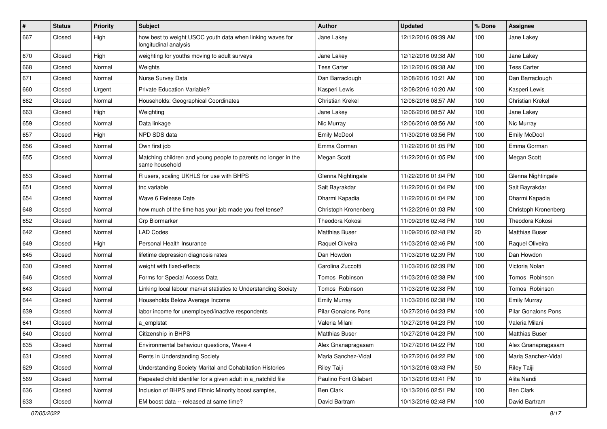| #   | <b>Status</b> | <b>Priority</b> | Subject                                                                            | <b>Author</b>              | <b>Updated</b>      | % Done | <b>Assignee</b>            |
|-----|---------------|-----------------|------------------------------------------------------------------------------------|----------------------------|---------------------|--------|----------------------------|
| 667 | Closed        | High            | how best to weight USOC youth data when linking waves for<br>longitudinal analysis | Jane Lakey                 | 12/12/2016 09:39 AM | 100    | Jane Lakey                 |
| 670 | Closed        | High            | weighting for youths moving to adult surveys                                       | Jane Lakey                 | 12/12/2016 09:38 AM | 100    | Jane Lakey                 |
| 668 | Closed        | Normal          | Weights                                                                            | <b>Tess Carter</b>         | 12/12/2016 09:38 AM | 100    | <b>Tess Carter</b>         |
| 671 | Closed        | Normal          | Nurse Survey Data                                                                  | Dan Barraclough            | 12/08/2016 10:21 AM | 100    | Dan Barraclough            |
| 660 | Closed        | Urgent          | Private Education Variable?                                                        | Kasperi Lewis              | 12/08/2016 10:20 AM | 100    | Kasperi Lewis              |
| 662 | Closed        | Normal          | Households: Geographical Coordinates                                               | Christian Krekel           | 12/06/2016 08:57 AM | 100    | <b>Christian Krekel</b>    |
| 663 | Closed        | High            | Weighting                                                                          | Jane Lakey                 | 12/06/2016 08:57 AM | 100    | Jane Lakey                 |
| 659 | Closed        | Normal          | Data linkage                                                                       | Nic Murray                 | 12/06/2016 08:56 AM | 100    | Nic Murray                 |
| 657 | Closed        | High            | NPD SDS data                                                                       | Emily McDool               | 11/30/2016 03:56 PM | 100    | Emily McDool               |
| 656 | Closed        | Normal          | Own first job                                                                      | Emma Gorman                | 11/22/2016 01:05 PM | 100    | Emma Gorman                |
| 655 | Closed        | Normal          | Matching children and young people to parents no longer in the<br>same household   | Megan Scott                | 11/22/2016 01:05 PM | 100    | Megan Scott                |
| 653 | Closed        | Normal          | R users, scaling UKHLS for use with BHPS                                           | Glenna Nightingale         | 11/22/2016 01:04 PM | 100    | Glenna Nightingale         |
| 651 | Closed        | Normal          | tnc variable                                                                       | Sait Bayrakdar             | 11/22/2016 01:04 PM | 100    | Sait Bayrakdar             |
| 654 | Closed        | Normal          | Wave 6 Release Date                                                                | Dharmi Kapadia             | 11/22/2016 01:04 PM | 100    | Dharmi Kapadia             |
| 648 | Closed        | Normal          | how much of the time has your job made you feel tense?                             | Christoph Kronenberg       | 11/22/2016 01:03 PM | 100    | Christoph Kronenberg       |
| 652 | Closed        | Normal          | Crp Biormarker                                                                     | Theodora Kokosi            | 11/09/2016 02:48 PM | 100    | Theodora Kokosi            |
| 642 | Closed        | Normal          | <b>LAD Codes</b>                                                                   | Matthias Buser             | 11/09/2016 02:48 PM | 20     | <b>Matthias Buser</b>      |
| 649 | Closed        | High            | Personal Health Insurance                                                          | Raquel Oliveira            | 11/03/2016 02:46 PM | 100    | Raquel Oliveira            |
| 645 | Closed        | Normal          | lifetime depression diagnosis rates                                                | Dan Howdon                 | 11/03/2016 02:39 PM | 100    | Dan Howdon                 |
| 630 | Closed        | Normal          | weight with fixed-effects                                                          | Carolina Zuccotti          | 11/03/2016 02:39 PM | 100    | Victoria Nolan             |
| 646 | Closed        | Normal          | Forms for Special Access Data                                                      | Tomos Robinson             | 11/03/2016 02:38 PM | 100    | Tomos Robinson             |
| 643 | Closed        | Normal          | Linking local labour market statistics to Understanding Society                    | Tomos Robinson             | 11/03/2016 02:38 PM | 100    | Tomos Robinson             |
| 644 | Closed        | Normal          | Households Below Average Income                                                    | <b>Emily Murray</b>        | 11/03/2016 02:38 PM | 100    | <b>Emily Murray</b>        |
| 639 | Closed        | Normal          | labor income for unemployed/inactive respondents                                   | <b>Pilar Gonalons Pons</b> | 10/27/2016 04:23 PM | 100    | <b>Pilar Gonalons Pons</b> |
| 641 | Closed        | Normal          | a emplstat                                                                         | Valeria Milani             | 10/27/2016 04:23 PM | 100    | Valeria Milani             |
| 640 | Closed        | Normal          | Citizenship in BHPS                                                                | <b>Matthias Buser</b>      | 10/27/2016 04:23 PM | 100    | <b>Matthias Buser</b>      |
| 635 | Closed        | Normal          | Environmental behaviour questions, Wave 4                                          | Alex Gnanapragasam         | 10/27/2016 04:22 PM | 100    | Alex Gnanapragasam         |
| 631 | Closed        | Normal          | Rents in Understanding Society                                                     | Maria Sanchez-Vidal        | 10/27/2016 04:22 PM | 100    | Maria Sanchez-Vidal        |
| 629 | Closed        | Normal          | Understanding Society Marital and Cohabitation Histories                           | Riley Taiji                | 10/13/2016 03:43 PM | 50     | Riley Taiji                |
| 569 | Closed        | Normal          | Repeated child identifer for a given adult in a_natchild file                      | Paulino Font Gilabert      | 10/13/2016 03:41 PM | 10     | Alita Nandi                |
| 636 | Closed        | Normal          | Inclusion of BHPS and Ethnic Minority boost samples,                               | Ben Clark                  | 10/13/2016 02:51 PM | 100    | Ben Clark                  |
| 633 | Closed        | Normal          | EM boost data -- released at same time?                                            | David Bartram              | 10/13/2016 02:48 PM | 100    | David Bartram              |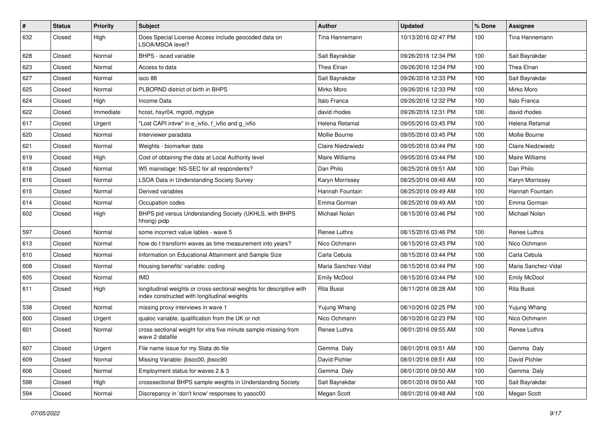| #   | <b>Status</b> | <b>Priority</b> | Subject                                                                                                             | <b>Author</b>         | <b>Updated</b>      | % Done | <b>Assignee</b>     |
|-----|---------------|-----------------|---------------------------------------------------------------------------------------------------------------------|-----------------------|---------------------|--------|---------------------|
| 632 | Closed        | High            | Does Special License Access include geocoded data on<br>LSOA/MSOA level?                                            | Tina Hannemann        | 10/13/2016 02:47 PM | 100    | Tina Hannemann      |
| 628 | Closed        | Normal          | BHPS - isced variable                                                                                               | Sait Bayrakdar        | 09/26/2016 12:34 PM | 100    | Sait Bayrakdar      |
| 623 | Closed        | Normal          | Access to data                                                                                                      | Thea Elnan            | 09/26/2016 12:34 PM | 100    | Thea Elnan          |
| 627 | Closed        | Normal          | isco 88                                                                                                             | Sait Bayrakdar        | 09/26/2016 12:33 PM | 100    | Sait Bayrakdar      |
| 625 | Closed        | Normal          | PLBORND district of birth in BHPS                                                                                   | Mirko Moro            | 09/26/2016 12:33 PM | 100    | Mirko Moro          |
| 624 | Closed        | High            | Income Data                                                                                                         | Italo Franca          | 09/26/2016 12:32 PM | 100    | Italo Franca        |
| 622 | Closed        | Immediate       | hcost, hsyr04, mgold, mgtype                                                                                        | david rhodes          | 09/26/2016 12:31 PM | 100    | david rhodes        |
| 617 | Closed        | Urgent          | "Lost CAPI intvw" in e_ivfio, f_ivfio and g_ivfio                                                                   | Helena Retamal        | 09/05/2016 03:45 PM | 100    | Helena Retamal      |
| 620 | Closed        | Normal          | Interviewer paradata                                                                                                | Mollie Bourne         | 09/05/2016 03:45 PM | 100    | Mollie Bourne       |
| 621 | Closed        | Normal          | Weights - biomarker data                                                                                            | Claire Niedzwiedz     | 09/05/2016 03:44 PM | 100    | Claire Niedzwiedz   |
| 619 | Closed        | High            | Cost of obtaining the data at Local Authority level                                                                 | <b>Maire Williams</b> | 09/05/2016 03:44 PM | 100    | Maire Williams      |
| 618 | Closed        | Normal          | W5 mainstage: NS-SEC for all respondents?                                                                           | Dan Philo             | 08/25/2016 09:51 AM | 100    | Dan Philo           |
| 616 | Closed        | Normal          | LSOA Data in Understanding Society Survey                                                                           | Karyn Morrissey       | 08/25/2016 09:49 AM | 100    | Karyn Morrissey     |
| 615 | Closed        | Normal          | Derived variables                                                                                                   | Hannah Fountain       | 08/25/2016 09:49 AM | 100    | Hannah Fountain     |
| 614 | Closed        | Normal          | Occupation codes                                                                                                    | Emma Gorman           | 08/25/2016 09:49 AM | 100    | Emma Gorman         |
| 602 | Closed        | High            | BHPS pid versus Understanding Society (UKHLS, with BHPS<br>hhorig) pidp                                             | Michael Nolan         | 08/15/2016 03:46 PM | 100    | Michael Nolan       |
| 597 | Closed        | Normal          | some incorrect value lables - wave 5                                                                                | Renee Luthra          | 08/15/2016 03:46 PM | 100    | Renee Luthra        |
| 613 | Closed        | Normal          | how do I transform waves as time measurement into years?                                                            | Nico Ochmann          | 08/15/2016 03:45 PM | 100    | Nico Ochmann        |
| 610 | Closed        | Normal          | Information on Educational Attainment and Sample Size                                                               | Carla Cebula          | 08/15/2016 03:44 PM | 100    | Carla Cebula        |
| 608 | Closed        | Normal          | Housing benefits' variable: coding                                                                                  | Maria Sanchez-Vidal   | 08/15/2016 03:44 PM | 100    | Maria Sanchez-Vidal |
| 605 | Closed        | Normal          | <b>IMD</b>                                                                                                          | <b>Emily McDool</b>   | 08/15/2016 03:44 PM | 100    | <b>Emily McDool</b> |
| 611 | Closed        | High            | longitudinal weights or cross-sectional weights for descriptive with<br>index constructed with longitudinal weights | Rita Bussi            | 08/11/2016 08:28 AM | 100    | Rita Bussi          |
| 538 | Closed        | Normal          | missing proxy interviews in wave 1                                                                                  | Yujung Whang          | 08/10/2016 02:25 PM | 100    | Yujung Whang        |
| 600 | Closed        | Urgent          | qualoc variable, qualification from the UK or not                                                                   | Nico Ochmann          | 08/10/2016 02:23 PM | 100    | Nico Ochmann        |
| 601 | Closed        | Normal          | cross-sectional weight for xtra five minute sample missing from<br>wave 2 datafile                                  | Renee Luthra          | 08/01/2016 09:55 AM | 100    | Renee Luthra        |
| 607 | Closed        | Urgent          | File name issue for my Stata do file                                                                                | Gemma Daly            | 08/01/2016 09:51 AM | 100    | Gemma Daly          |
| 609 | Closed        | Normal          | Missing Variable: jbsoc00, jbsoc90                                                                                  | David Pichler         | 08/01/2016 09:51 AM | 100    | David Pichler       |
| 606 | Closed        | Normal          | Employment status for waves 2 & 3                                                                                   | Gemma Daly            | 08/01/2016 09:50 AM | 100    | Gemma Daly          |
| 598 | Closed        | High            | crosssectional BHPS sample weights in Understanding Society                                                         | Sait Bayrakdar        | 08/01/2016 09:50 AM | 100    | Sait Bayrakdar      |
| 594 | Closed        | Normal          | Discrepancy in 'don't know' responses to yasoc00                                                                    | Megan Scott           | 08/01/2016 09:48 AM | 100    | Megan Scott         |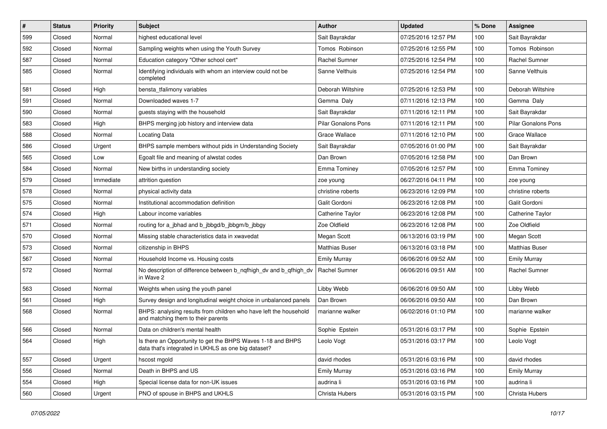| $\#$ | <b>Status</b> | <b>Priority</b> | <b>Subject</b>                                                                                                     | <b>Author</b>              | <b>Updated</b>      | % Done | <b>Assignee</b>            |
|------|---------------|-----------------|--------------------------------------------------------------------------------------------------------------------|----------------------------|---------------------|--------|----------------------------|
| 599  | Closed        | Normal          | highest educational level                                                                                          | Sait Bayrakdar             | 07/25/2016 12:57 PM | 100    | Sait Bayrakdar             |
| 592  | Closed        | Normal          | Sampling weights when using the Youth Survey                                                                       | Tomos Robinson             | 07/25/2016 12:55 PM | 100    | Tomos Robinson             |
| 587  | Closed        | Normal          | Education category "Other school cert"                                                                             | Rachel Sumner              | 07/25/2016 12:54 PM | 100    | Rachel Sumner              |
| 585  | Closed        | Normal          | Identifying individuals with whom an interview could not be<br>completed                                           | Sanne Velthuis             | 07/25/2016 12:54 PM | 100    | Sanne Velthuis             |
| 581  | Closed        | High            | bensta_tfalimony variables                                                                                         | Deborah Wiltshire          | 07/25/2016 12:53 PM | 100    | Deborah Wiltshire          |
| 591  | Closed        | Normal          | Downloaded waves 1-7                                                                                               | Gemma Daly                 | 07/11/2016 12:13 PM | 100    | Gemma Daly                 |
| 590  | Closed        | Normal          | guests staying with the household                                                                                  | Sait Bayrakdar             | 07/11/2016 12:11 PM | 100    | Sait Bayrakdar             |
| 583  | Closed        | High            | BHPS merging job history and interview data                                                                        | <b>Pilar Gonalons Pons</b> | 07/11/2016 12:11 PM | 100    | <b>Pilar Gonalons Pons</b> |
| 588  | Closed        | Normal          | Locating Data                                                                                                      | <b>Grace Wallace</b>       | 07/11/2016 12:10 PM | 100    | <b>Grace Wallace</b>       |
| 586  | Closed        | Urgent          | BHPS sample members without pids in Understanding Society                                                          | Sait Bayrakdar             | 07/05/2016 01:00 PM | 100    | Sait Bayrakdar             |
| 565  | Closed        | Low             | Egoalt file and meaning of alwstat codes                                                                           | Dan Brown                  | 07/05/2016 12:58 PM | 100    | Dan Brown                  |
| 584  | Closed        | Normal          | New births in understanding society                                                                                | Emma Tominey               | 07/05/2016 12:57 PM | 100    | <b>Emma Tominey</b>        |
| 579  | Closed        | Immediate       | attrition question                                                                                                 | zoe young                  | 06/27/2016 04:11 PM | 100    | zoe young                  |
| 578  | Closed        | Normal          | physical activity data                                                                                             | christine roberts          | 06/23/2016 12:09 PM | 100    | christine roberts          |
| 575  | Closed        | Normal          | Institutional accommodation definition                                                                             | Galit Gordoni              | 06/23/2016 12:08 PM | 100    | Galit Gordoni              |
| 574  | Closed        | High            | Labour income variables                                                                                            | Catherine Taylor           | 06/23/2016 12:08 PM | 100    | Catherine Taylor           |
| 571  | Closed        | Normal          | routing for a_jbhad and b_jbbgd/b_jbbgm/b_jbbgy                                                                    | Zoe Oldfield               | 06/23/2016 12:08 PM | 100    | Zoe Oldfield               |
| 570  | Closed        | Normal          | Missing stable characteristics data in xwavedat                                                                    | Megan Scott                | 06/13/2016 03:19 PM | 100    | Megan Scott                |
| 573  | Closed        | Normal          | citizenship in BHPS                                                                                                | <b>Matthias Buser</b>      | 06/13/2016 03:18 PM | 100    | <b>Matthias Buser</b>      |
| 567  | Closed        | Normal          | Household Income vs. Housing costs                                                                                 | <b>Emily Murray</b>        | 06/06/2016 09:52 AM | 100    | <b>Emily Murray</b>        |
| 572  | Closed        | Normal          | No description of difference between b_nqfhigh_dv and b_qfhigh_dv<br>in Wave 2                                     | <b>Rachel Sumner</b>       | 06/06/2016 09:51 AM | 100    | Rachel Sumner              |
| 563  | Closed        | Normal          | Weights when using the youth panel                                                                                 | Libby Webb                 | 06/06/2016 09:50 AM | 100    | Libby Webb                 |
| 561  | Closed        | High            | Survey design and longitudinal weight choice in unbalanced panels                                                  | Dan Brown                  | 06/06/2016 09:50 AM | 100    | Dan Brown                  |
| 568  | Closed        | Normal          | BHPS: analysing results from children who have left the household<br>and matching them to their parents            | marianne walker            | 06/02/2016 01:10 PM | 100    | marianne walker            |
| 566  | Closed        | Normal          | Data on children's mental health                                                                                   | Sophie Epstein             | 05/31/2016 03:17 PM | 100    | Sophie Epstein             |
| 564  | Closed        | High            | Is there an Opportunity to get the BHPS Waves 1-18 and BHPS<br>data that's integrated in UKHLS as one big dataset? | Leolo Vogt                 | 05/31/2016 03:17 PM | 100    | Leolo Vogt                 |
| 557  | Closed        | Urgent          | hscost mgold                                                                                                       | david rhodes               | 05/31/2016 03:16 PM | 100    | david rhodes               |
| 556  | Closed        | Normal          | Death in BHPS and US                                                                                               | <b>Emily Murray</b>        | 05/31/2016 03:16 PM | 100    | <b>Emily Murray</b>        |
| 554  | Closed        | High            | Special license data for non-UK issues                                                                             | audrina li                 | 05/31/2016 03:16 PM | 100    | audrina li                 |
| 560  | Closed        | Urgent          | PNO of spouse in BHPS and UKHLS                                                                                    | Christa Hubers             | 05/31/2016 03:15 PM | 100    | Christa Hubers             |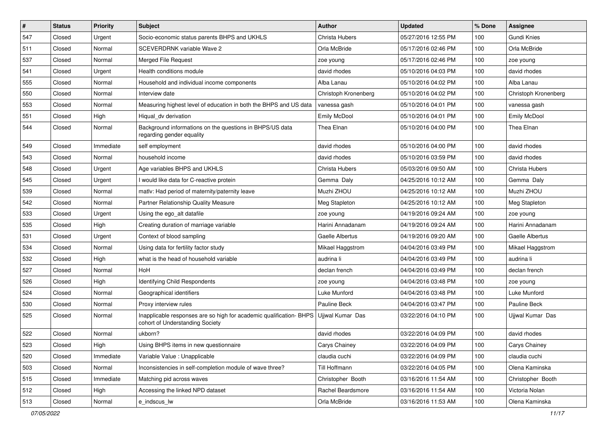| #   | <b>Status</b> | <b>Priority</b> | <b>Subject</b>                                                                                         | <b>Author</b>        | <b>Updated</b>      | % Done | <b>Assignee</b>      |
|-----|---------------|-----------------|--------------------------------------------------------------------------------------------------------|----------------------|---------------------|--------|----------------------|
| 547 | Closed        | Urgent          | Socio-economic status parents BHPS and UKHLS                                                           | Christa Hubers       | 05/27/2016 12:55 PM | 100    | Gundi Knies          |
| 511 | Closed        | Normal          | SCEVERDRNK variable Wave 2                                                                             | Orla McBride         | 05/17/2016 02:46 PM | 100    | Orla McBride         |
| 537 | Closed        | Normal          | <b>Merged File Request</b>                                                                             | zoe young            | 05/17/2016 02:46 PM | 100    | zoe young            |
| 541 | Closed        | Urgent          | Health conditions module                                                                               | david rhodes         | 05/10/2016 04:03 PM | 100    | david rhodes         |
| 555 | Closed        | Normal          | Household and individual income components                                                             | Alba Lanau           | 05/10/2016 04:02 PM | 100    | Alba Lanau           |
| 550 | Closed        | Normal          | Interview date                                                                                         | Christoph Kronenberg | 05/10/2016 04:02 PM | 100    | Christoph Kronenberg |
| 553 | Closed        | Normal          | Measuring highest level of education in both the BHPS and US data                                      | vanessa gash         | 05/10/2016 04:01 PM | 100    | vanessa gash         |
| 551 | Closed        | High            | Hiqual_dv derivation                                                                                   | <b>Emily McDool</b>  | 05/10/2016 04:01 PM | 100    | Emily McDool         |
| 544 | Closed        | Normal          | Background informations on the questions in BHPS/US data<br>regarding gender equality                  | Thea Elnan           | 05/10/2016 04:00 PM | 100    | Thea Elnan           |
| 549 | Closed        | Immediate       | self employment                                                                                        | david rhodes         | 05/10/2016 04:00 PM | 100    | david rhodes         |
| 543 | Closed        | Normal          | household income                                                                                       | david rhodes         | 05/10/2016 03:59 PM | 100    | david rhodes         |
| 548 | Closed        | Urgent          | Age variables BHPS and UKHLS                                                                           | Christa Hubers       | 05/03/2016 09:50 AM | 100    | Christa Hubers       |
| 545 | Closed        | Urgent          | I would like data for C-reactive protein                                                               | Gemma Daly           | 04/25/2016 10:12 AM | 100    | Gemma Daly           |
| 539 | Closed        | Normal          | matlv: Had period of maternity/paternity leave                                                         | Muzhi ZHOU           | 04/25/2016 10:12 AM | 100    | Muzhi ZHOU           |
| 542 | Closed        | Normal          | Partner Relationship Quality Measure                                                                   | Meg Stapleton        | 04/25/2016 10:12 AM | 100    | Meg Stapleton        |
| 533 | Closed        | Urgent          | Using the ego_alt datafile                                                                             | zoe young            | 04/19/2016 09:24 AM | 100    | zoe young            |
| 535 | Closed        | High            | Creating duration of marriage variable                                                                 | Harini Annadanam     | 04/19/2016 09:24 AM | 100    | Harini Annadanam     |
| 531 | Closed        | Urgent          | Context of blood sampling                                                                              | Gaelle Albertus      | 04/19/2016 09:20 AM | 100    | Gaelle Albertus      |
| 534 | Closed        | Normal          | Using data for fertility factor study                                                                  | Mikael Haggstrom     | 04/04/2016 03:49 PM | 100    | Mikael Haggstrom     |
| 532 | Closed        | High            | what is the head of household variable                                                                 | audrina li           | 04/04/2016 03:49 PM | 100    | audrina li           |
| 527 | Closed        | Normal          | HoH                                                                                                    | declan french        | 04/04/2016 03:49 PM | 100    | declan french        |
| 526 | Closed        | High            | Identifying Child Respondents                                                                          | zoe young            | 04/04/2016 03:48 PM | 100    | zoe young            |
| 524 | Closed        | Normal          | Geographical identifiers                                                                               | Luke Munford         | 04/04/2016 03:48 PM | 100    | Luke Munford         |
| 530 | Closed        | Normal          | Proxy interview rules                                                                                  | Pauline Beck         | 04/04/2016 03:47 PM | 100    | Pauline Beck         |
| 525 | Closed        | Normal          | Inapplicable responses are so high for academic qualification- BHPS<br>cohort of Understanding Society | Ujjwal Kumar Das     | 03/22/2016 04:10 PM | 100    | Ujjwal Kumar Das     |
| 522 | Closed        | Normal          | ukborn?                                                                                                | david rhodes         | 03/22/2016 04:09 PM | 100    | david rhodes         |
| 523 | Closed        | High            | Using BHPS items in new questionnaire                                                                  | Carys Chainey        | 03/22/2016 04:09 PM | 100    | Carys Chainey        |
| 520 | Closed        | Immediate       | Variable Value : Unapplicable                                                                          | claudia cuchi        | 03/22/2016 04:09 PM | 100    | claudia cuchi        |
| 503 | Closed        | Normal          | Inconsistencies in self-completion module of wave three?                                               | Till Hoffmann        | 03/22/2016 04:05 PM | 100    | Olena Kaminska       |
| 515 | Closed        | Immediate       | Matching pid across waves                                                                              | Christopher Booth    | 03/16/2016 11:54 AM | 100    | Christopher Booth    |
| 512 | Closed        | High            | Accessing the linked NPD dataset                                                                       | Rachel Beardsmore    | 03/16/2016 11:54 AM | 100    | Victoria Nolan       |
| 513 | Closed        | Normal          | e_indscus_lw                                                                                           | Orla McBride         | 03/16/2016 11:53 AM | 100    | Olena Kaminska       |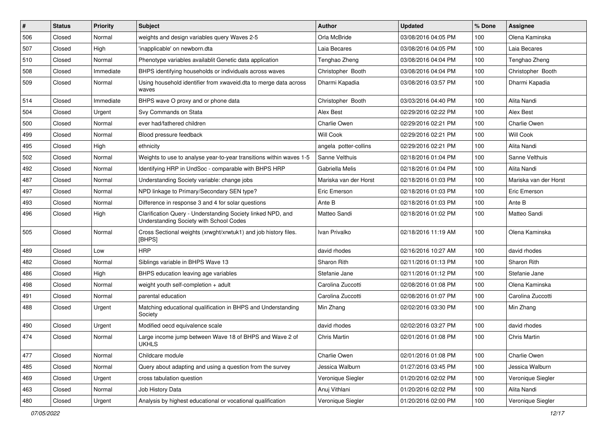| $\vert$ # | <b>Status</b> | <b>Priority</b> | Subject                                                                                                | <b>Author</b>         | <b>Updated</b>      | % Done | <b>Assignee</b>       |
|-----------|---------------|-----------------|--------------------------------------------------------------------------------------------------------|-----------------------|---------------------|--------|-----------------------|
| 506       | Closed        | Normal          | weights and design variables query Waves 2-5                                                           | Orla McBride          | 03/08/2016 04:05 PM | 100    | Olena Kaminska        |
| 507       | Closed        | High            | 'inapplicable' on newborn.dta                                                                          | Laia Becares          | 03/08/2016 04:05 PM | 100    | Laia Becares          |
| 510       | Closed        | Normal          | Phenotype variables availablit Genetic data application                                                | Tenghao Zheng         | 03/08/2016 04:04 PM | 100    | Tenghao Zheng         |
| 508       | Closed        | Immediate       | BHPS identifying households or individuals across waves                                                | Christopher Booth     | 03/08/2016 04:04 PM | 100    | Christopher Booth     |
| 509       | Closed        | Normal          | Using household identifier from xwaveid.dta to merge data across<br>waves                              | Dharmi Kapadia        | 03/08/2016 03:57 PM | 100    | Dharmi Kapadia        |
| 514       | Closed        | Immediate       | BHPS wave O proxy and or phone data                                                                    | Christopher Booth     | 03/03/2016 04:40 PM | 100    | Alita Nandi           |
| 504       | Closed        | Urgent          | Svy Commands on Stata                                                                                  | Alex Best             | 02/29/2016 02:22 PM | 100    | Alex Best             |
| 500       | Closed        | Normal          | ever had/fathered children                                                                             | Charlie Owen          | 02/29/2016 02:21 PM | 100    | Charlie Owen          |
| 499       | Closed        | Normal          | Blood pressure feedback                                                                                | <b>Will Cook</b>      | 02/29/2016 02:21 PM | 100    | <b>Will Cook</b>      |
| 495       | Closed        | High            | ethnicity                                                                                              | angela potter-collins | 02/29/2016 02:21 PM | 100    | Alita Nandi           |
| 502       | Closed        | Normal          | Weights to use to analyse year-to-year transitions within waves 1-5                                    | Sanne Velthuis        | 02/18/2016 01:04 PM | 100    | Sanne Velthuis        |
| 492       | Closed        | Normal          | Identifying HRP in UndSoc - comparable with BHPS HRP                                                   | Gabriella Melis       | 02/18/2016 01:04 PM | 100    | Alita Nandi           |
| 487       | Closed        | Normal          | Understanding Society variable: change jobs                                                            | Mariska van der Horst | 02/18/2016 01:03 PM | 100    | Mariska van der Horst |
| 497       | Closed        | Normal          | NPD linkage to Primary/Secondary SEN type?                                                             | Eric Emerson          | 02/18/2016 01:03 PM | 100    | Eric Emerson          |
| 493       | Closed        | Normal          | Difference in response 3 and 4 for solar questions                                                     | Ante B                | 02/18/2016 01:03 PM | 100    | Ante B                |
| 496       | Closed        | High            | Clarification Query - Understanding Society linked NPD, and<br>Understanding Society with School Codes | Matteo Sandi          | 02/18/2016 01:02 PM | 100    | Matteo Sandi          |
| 505       | Closed        | Normal          | Cross Sectional weights (xrwght/xrwtuk1) and job history files.<br>[BHPS]                              | Ivan Privalko         | 02/18/2016 11:19 AM | 100    | Olena Kaminska        |
| 489       | Closed        | Low             | <b>HRP</b>                                                                                             | david rhodes          | 02/16/2016 10:27 AM | 100    | david rhodes          |
| 482       | Closed        | Normal          | Siblings variable in BHPS Wave 13                                                                      | Sharon Rith           | 02/11/2016 01:13 PM | 100    | Sharon Rith           |
| 486       | Closed        | High            | BHPS education leaving age variables                                                                   | Stefanie Jane         | 02/11/2016 01:12 PM | 100    | Stefanie Jane         |
| 498       | Closed        | Normal          | weight youth self-completion + adult                                                                   | Carolina Zuccotti     | 02/08/2016 01:08 PM | 100    | Olena Kaminska        |
| 491       | Closed        | Normal          | parental education                                                                                     | Carolina Zuccotti     | 02/08/2016 01:07 PM | 100    | Carolina Zuccotti     |
| 488       | Closed        | Urgent          | Matching educational qualification in BHPS and Understanding<br>Society                                | Min Zhang             | 02/02/2016 03:30 PM | 100    | Min Zhang             |
| 490       | Closed        | Urgent          | Modified oecd equivalence scale                                                                        | david rhodes          | 02/02/2016 03:27 PM | 100    | david rhodes          |
| 474       | Closed        | Normal          | Large income jump between Wave 18 of BHPS and Wave 2 of<br><b>UKHLS</b>                                | Chris Martin          | 02/01/2016 01:08 PM | 100    | <b>Chris Martin</b>   |
| 477       | Closed        | Normal          | Childcare module                                                                                       | Charlie Owen          | 02/01/2016 01:08 PM | 100    | Charlie Owen          |
| 485       | Closed        | Normal          | Query about adapting and using a question from the survey                                              | Jessica Walburn       | 01/27/2016 03:45 PM | 100    | Jessica Walburn       |
| 469       | Closed        | Urgent          | cross tabulation question                                                                              | Veronique Siegler     | 01/20/2016 02:02 PM | 100    | Veronique Siegler     |
| 463       | Closed        | Normal          | Job History Data                                                                                       | Anuj Vithlani         | 01/20/2016 02:02 PM | 100    | Alita Nandi           |
| 480       | Closed        | Urgent          | Analysis by highest educational or vocational qualification                                            | Veronique Siegler     | 01/20/2016 02:00 PM | 100    | Veronique Siegler     |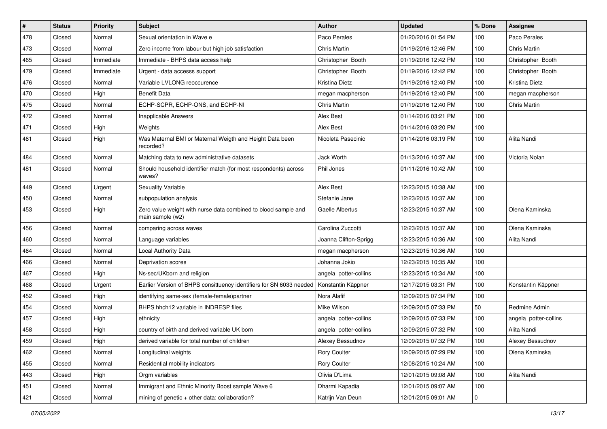| $\sharp$ | <b>Status</b> | <b>Priority</b> | <b>Subject</b>                                                                     | <b>Author</b>         | <b>Updated</b>      | % Done              | <b>Assignee</b>       |
|----------|---------------|-----------------|------------------------------------------------------------------------------------|-----------------------|---------------------|---------------------|-----------------------|
| 478      | Closed        | Normal          | Sexual orientation in Wave e                                                       | Paco Perales          | 01/20/2016 01:54 PM | 100                 | Paco Perales          |
| 473      | Closed        | Normal          | Zero income from labour but high job satisfaction                                  | Chris Martin          | 01/19/2016 12:46 PM | 100                 | <b>Chris Martin</b>   |
| 465      | Closed        | Immediate       | Immediate - BHPS data access help                                                  | Christopher Booth     | 01/19/2016 12:42 PM | 100                 | Christopher Booth     |
| 479      | Closed        | Immediate       | Urgent - data accesss support                                                      | Christopher Booth     | 01/19/2016 12:42 PM | 100                 | Christopher Booth     |
| 476      | Closed        | Normal          | Variable LVLONG reoccurence                                                        | Kristina Dietz        | 01/19/2016 12:40 PM | 100                 | Kristina Dietz        |
| 470      | Closed        | High            | <b>Benefit Data</b>                                                                | megan macpherson      | 01/19/2016 12:40 PM | 100                 | megan macpherson      |
| 475      | Closed        | Normal          | ECHP-SCPR, ECHP-ONS, and ECHP-NI                                                   | Chris Martin          | 01/19/2016 12:40 PM | 100                 | Chris Martin          |
| 472      | Closed        | Normal          | <b>Inapplicable Answers</b>                                                        | Alex Best             | 01/14/2016 03:21 PM | 100                 |                       |
| 471      | Closed        | High            | Weights                                                                            | Alex Best             | 01/14/2016 03:20 PM | 100                 |                       |
| 461      | Closed        | High            | Was Maternal BMI or Maternal Weigth and Height Data been<br>recorded?              | Nicoleta Pasecinic    | 01/14/2016 03:19 PM | 100                 | Alita Nandi           |
| 484      | Closed        | Normal          | Matching data to new administrative datasets                                       | Jack Worth            | 01/13/2016 10:37 AM | 100                 | Victoria Nolan        |
| 481      | Closed        | Normal          | Should household identifier match (for most respondents) across<br>waves?          | Phil Jones            | 01/11/2016 10:42 AM | 100                 |                       |
| 449      | Closed        | Urgent          | <b>Sexuality Variable</b>                                                          | Alex Best             | 12/23/2015 10:38 AM | 100                 |                       |
| 450      | Closed        | Normal          | subpopulation analysis                                                             | Stefanie Jane         | 12/23/2015 10:37 AM | 100                 |                       |
| 453      | Closed        | High            | Zero value weight with nurse data combined to blood sample and<br>main sample (w2) | Gaelle Albertus       | 12/23/2015 10:37 AM | 100                 | Olena Kaminska        |
| 456      | Closed        | Normal          | comparing across waves                                                             | Carolina Zuccotti     | 12/23/2015 10:37 AM | 100                 | Olena Kaminska        |
| 460      | Closed        | Normal          | Language variables                                                                 | Joanna Clifton-Sprigg | 12/23/2015 10:36 AM | 100                 | Alita Nandi           |
| 464      | Closed        | Normal          | Local Authority Data                                                               | megan macpherson      | 12/23/2015 10:36 AM | 100                 |                       |
| 466      | Closed        | Normal          | Deprivation scores                                                                 | Johanna Jokio         | 12/23/2015 10:35 AM | 100                 |                       |
| 467      | Closed        | High            | Ns-sec/UKborn and religion                                                         | angela potter-collins | 12/23/2015 10:34 AM | 100                 |                       |
| 468      | Closed        | Urgent          | Earlier Version of BHPS consittuency identifiers for SN 6033 needed                | Konstantin Käppner    | 12/17/2015 03:31 PM | 100                 | Konstantin Käppner    |
| 452      | Closed        | High            | identifying same-sex (female-female)partner                                        | Nora Alafif           | 12/09/2015 07:34 PM | 100                 |                       |
| 454      | Closed        | Normal          | BHPS hhch12 variable in INDRESP files                                              | Mike Wilson           | 12/09/2015 07:33 PM | 50                  | Redmine Admin         |
| 457      | Closed        | High            | ethnicity                                                                          | angela potter-collins | 12/09/2015 07:33 PM | 100                 | angela potter-collins |
| 458      | Closed        | High            | country of birth and derived variable UK born                                      | angela potter-collins | 12/09/2015 07:32 PM | 100                 | Alita Nandi           |
| 459      | Closed        | High            | derived variable for total number of children                                      | Alexey Bessudnov      | 12/09/2015 07:32 PM | $100$               | Alexey Bessudnov      |
| 462      | Closed        | Normal          | Longitudinal weights                                                               | <b>Rory Coulter</b>   | 12/09/2015 07:29 PM | 100                 | Olena Kaminska        |
| 455      | Closed        | Normal          | Residential mobility indicators                                                    | Rory Coulter          | 12/08/2015 10:24 AM | 100                 |                       |
| 443      | Closed        | High            | Orgm variables                                                                     | Olivia D'Lima         | 12/01/2015 09:08 AM | 100                 | Alita Nandi           |
| 451      | Closed        | Normal          | Immigrant and Ethnic Minority Boost sample Wave 6                                  | Dharmi Kapadia        | 12/01/2015 09:07 AM | 100                 |                       |
| 421      | Closed        | Normal          | mining of genetic + other data: collaboration?                                     | Katrijn Van Deun      | 12/01/2015 09:01 AM | $\mathsf{O}\xspace$ |                       |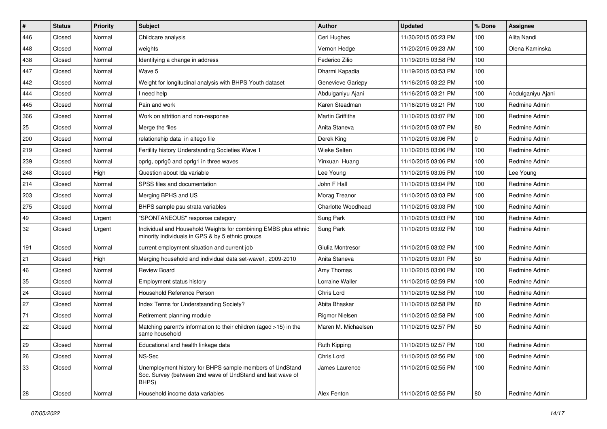| $\vert$ # | <b>Status</b> | <b>Priority</b> | Subject                                                                                                                         | <b>Author</b>           | <b>Updated</b>      | % Done | <b>Assignee</b>   |
|-----------|---------------|-----------------|---------------------------------------------------------------------------------------------------------------------------------|-------------------------|---------------------|--------|-------------------|
| 446       | Closed        | Normal          | Childcare analysis                                                                                                              | Ceri Hughes             | 11/30/2015 05:23 PM | 100    | Alita Nandi       |
| 448       | Closed        | Normal          | weights                                                                                                                         | Vernon Hedge            | 11/20/2015 09:23 AM | 100    | Olena Kaminska    |
| 438       | Closed        | Normal          | Identifying a change in address                                                                                                 | Federico Zilio          | 11/19/2015 03:58 PM | 100    |                   |
| 447       | Closed        | Normal          | Wave 5                                                                                                                          | Dharmi Kapadia          | 11/19/2015 03:53 PM | 100    |                   |
| 442       | Closed        | Normal          | Weight for longitudinal analysis with BHPS Youth dataset                                                                        | Genevieve Gariepy       | 11/16/2015 03:22 PM | 100    |                   |
| 444       | Closed        | Normal          | I need help                                                                                                                     | Abdulganiyu Ajani       | 11/16/2015 03:21 PM | 100    | Abdulganiyu Ajani |
| 445       | Closed        | Normal          | Pain and work                                                                                                                   | Karen Steadman          | 11/16/2015 03:21 PM | 100    | Redmine Admin     |
| 366       | Closed        | Normal          | Work on attrition and non-response                                                                                              | <b>Martin Griffiths</b> | 11/10/2015 03:07 PM | 100    | Redmine Admin     |
| 25        | Closed        | Normal          | Merge the files                                                                                                                 | Anita Staneva           | 11/10/2015 03:07 PM | 80     | Redmine Admin     |
| 200       | Closed        | Normal          | relationship data in altego file                                                                                                | Derek King              | 11/10/2015 03:06 PM | 0      | Redmine Admin     |
| 219       | Closed        | Normal          | Fertility history Understanding Societies Wave 1                                                                                | Wieke Selten            | 11/10/2015 03:06 PM | 100    | Redmine Admin     |
| 239       | Closed        | Normal          | oprlg, oprlg0 and oprlg1 in three waves                                                                                         | Yinxuan Huang           | 11/10/2015 03:06 PM | 100    | Redmine Admin     |
| 248       | Closed        | High            | Question about Ida variable                                                                                                     | Lee Young               | 11/10/2015 03:05 PM | 100    | Lee Young         |
| 214       | Closed        | Normal          | SPSS files and documentation                                                                                                    | John F Hall             | 11/10/2015 03:04 PM | 100    | Redmine Admin     |
| 203       | Closed        | Normal          | Merging BPHS and US                                                                                                             | Morag Treanor           | 11/10/2015 03:03 PM | 100    | Redmine Admin     |
| 275       | Closed        | Normal          | BHPS sample psu strata variables                                                                                                | Charlotte Woodhead      | 11/10/2015 03:03 PM | 100    | Redmine Admin     |
| 49        | Closed        | Urgent          | "SPONTANEOUS" response category                                                                                                 | Sung Park               | 11/10/2015 03:03 PM | 100    | Redmine Admin     |
| 32        | Closed        | Urgent          | Individual and Household Weights for combining EMBS plus ethnic<br>minority individuals in GPS & by 5 ethnic groups             | Sung Park               | 11/10/2015 03:02 PM | 100    | Redmine Admin     |
| 191       | Closed        | Normal          | current employment situation and current job                                                                                    | Giulia Montresor        | 11/10/2015 03:02 PM | 100    | Redmine Admin     |
| 21        | Closed        | High            | Merging household and individual data set-wave1, 2009-2010                                                                      | Anita Staneva           | 11/10/2015 03:01 PM | 50     | Redmine Admin     |
| 46        | Closed        | Normal          | <b>Review Board</b>                                                                                                             | Amy Thomas              | 11/10/2015 03:00 PM | 100    | Redmine Admin     |
| 35        | Closed        | Normal          | Employment status history                                                                                                       | Lorraine Waller         | 11/10/2015 02:59 PM | 100    | Redmine Admin     |
| 24        | Closed        | Normal          | Household Reference Person                                                                                                      | Chris Lord              | 11/10/2015 02:58 PM | 100    | Redmine Admin     |
| 27        | Closed        | Normal          | Index Terms for Understsanding Society?                                                                                         | Abita Bhaskar           | 11/10/2015 02:58 PM | 80     | Redmine Admin     |
| 71        | Closed        | Normal          | Retirement planning module                                                                                                      | <b>Rigmor Nielsen</b>   | 11/10/2015 02:58 PM | 100    | Redmine Admin     |
| 22        | Closed        | Normal          | Matching parent's information to their children (aged >15) in the<br>same household                                             | Maren M. Michaelsen     | 11/10/2015 02:57 PM | 50     | Redmine Admin     |
| 29        | Closed        | Normal          | Educational and health linkage data                                                                                             | Ruth Kipping            | 11/10/2015 02:57 PM | 100    | Redmine Admin     |
| 26        | Closed        | Normal          | NS-Sec                                                                                                                          | Chris Lord              | 11/10/2015 02:56 PM | 100    | Redmine Admin     |
| 33        | Closed        | Normal          | Unemployment history for BHPS sample members of UndStand<br>Soc. Survey (between 2nd wave of UndStand and last wave of<br>BHPS) | James Laurence          | 11/10/2015 02:55 PM | 100    | Redmine Admin     |
| 28        | Closed        | Normal          | Household income data variables                                                                                                 | Alex Fenton             | 11/10/2015 02:55 PM | 80     | Redmine Admin     |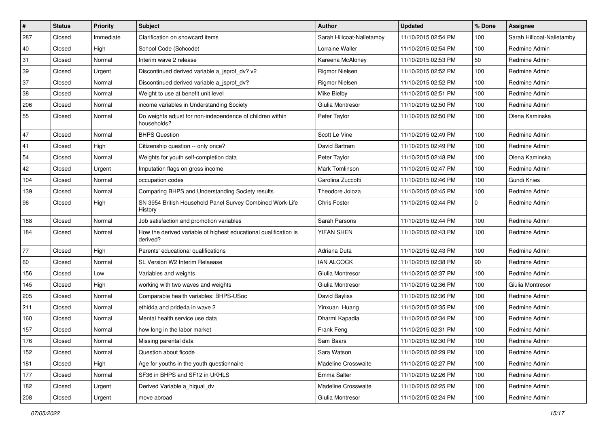| $\vert$ # | <b>Status</b> | <b>Priority</b> | <b>Subject</b>                                                               | <b>Author</b>             | <b>Updated</b>      | % Done | <b>Assignee</b>           |
|-----------|---------------|-----------------|------------------------------------------------------------------------------|---------------------------|---------------------|--------|---------------------------|
| 287       | Closed        | Immediate       | Clarification on showcard items                                              | Sarah Hillcoat-Nalletamby | 11/10/2015 02:54 PM | 100    | Sarah Hillcoat-Nalletamby |
| 40        | Closed        | High            | School Code (Schcode)                                                        | Lorraine Waller           | 11/10/2015 02:54 PM | 100    | Redmine Admin             |
| 31        | Closed        | Normal          | Interim wave 2 release                                                       | Kareena McAloney          | 11/10/2015 02:53 PM | 50     | Redmine Admin             |
| 39        | Closed        | Urgent          | Discontinued derived variable a_jsprof_dv? v2                                | <b>Rigmor Nielsen</b>     | 11/10/2015 02:52 PM | 100    | Redmine Admin             |
| 37        | Closed        | Normal          | Discontinued derived variable a jsprof dv?                                   | <b>Rigmor Nielsen</b>     | 11/10/2015 02:52 PM | 100    | Redmine Admin             |
| 38        | Closed        | Normal          | Weight to use at benefit unit level                                          | Mike Bielby               | 11/10/2015 02:51 PM | 100    | Redmine Admin             |
| 206       | Closed        | Normal          | income variables in Understanding Society                                    | Giulia Montresor          | 11/10/2015 02:50 PM | 100    | Redmine Admin             |
| 55        | Closed        | Normal          | Do weights adjust for non-independence of children within<br>households?     | Peter Taylor              | 11/10/2015 02:50 PM | 100    | Olena Kaminska            |
| 47        | Closed        | Normal          | <b>BHPS Question</b>                                                         | Scott Le Vine             | 11/10/2015 02:49 PM | 100    | Redmine Admin             |
| 41        | Closed        | High            | Citizenship question -- only once?                                           | David Bartram             | 11/10/2015 02:49 PM | 100    | Redmine Admin             |
| 54        | Closed        | Normal          | Weights for youth self-completion data                                       | Peter Taylor              | 11/10/2015 02:48 PM | 100    | Olena Kaminska            |
| 42        | Closed        | Urgent          | Imputation flags on gross income                                             | Mark Tomlinson            | 11/10/2015 02:47 PM | 100    | Redmine Admin             |
| 104       | Closed        | Normal          | occupation codes                                                             | Carolina Zuccotti         | 11/10/2015 02:46 PM | 100    | Gundi Knies               |
| 139       | Closed        | Normal          | Comparing BHPS and Understanding Society results                             | Theodore Joloza           | 11/10/2015 02:45 PM | 100    | Redmine Admin             |
| 96        | Closed        | High            | SN 3954 British Household Panel Survey Combined Work-Life<br>History         | Chris Foster              | 11/10/2015 02:44 PM | 0      | Redmine Admin             |
| 188       | Closed        | Normal          | Job satisfaction and promotion variables                                     | Sarah Parsons             | 11/10/2015 02:44 PM | 100    | Redmine Admin             |
| 184       | Closed        | Normal          | How the derived variable of highest educational qualification is<br>derived? | YIFAN SHEN                | 11/10/2015 02:43 PM | 100    | Redmine Admin             |
| 77        | Closed        | High            | Parents' educational qualifications                                          | Adriana Duta              | 11/10/2015 02:43 PM | 100    | Redmine Admin             |
| 60        | Closed        | Normal          | SL Version W2 Interim Relaease                                               | <b>IAN ALCOCK</b>         | 11/10/2015 02:38 PM | 90     | Redmine Admin             |
| 156       | Closed        | Low             | Variables and weights                                                        | Giulia Montresor          | 11/10/2015 02:37 PM | 100    | Redmine Admin             |
| 145       | Closed        | High            | working with two waves and weights                                           | Giulia Montresor          | 11/10/2015 02:36 PM | 100    | Giulia Montresor          |
| 205       | Closed        | Normal          | Comparable health variables: BHPS-USoc                                       | David Bayliss             | 11/10/2015 02:36 PM | 100    | Redmine Admin             |
| 211       | Closed        | Normal          | ethid4a and pride4a in wave 2                                                | Yinxuan Huang             | 11/10/2015 02:35 PM | 100    | Redmine Admin             |
| 160       | Closed        | Normal          | Mental health service use data                                               | Dharmi Kapadia            | 11/10/2015 02:34 PM | 100    | Redmine Admin             |
| 157       | Closed        | Normal          | how long in the labor market                                                 | Frank Feng                | 11/10/2015 02:31 PM | 100    | Redmine Admin             |
| 176       | Closed        | Normal          | Missing parental data                                                        | Sam Baars                 | 11/10/2015 02:30 PM | $100$  | Redmine Admin             |
| 152       | Closed        | Normal          | Question about ficode                                                        | Sara Watson               | 11/10/2015 02:29 PM | 100    | Redmine Admin             |
| 181       | Closed        | High            | Age for youths in the youth questionnaire                                    | Madeline Crosswaite       | 11/10/2015 02:27 PM | 100    | Redmine Admin             |
| 177       | Closed        | Normal          | SF36 in BHPS and SF12 in UKHLS                                               | Emma Salter               | 11/10/2015 02:26 PM | 100    | Redmine Admin             |
| 182       | Closed        | Urgent          | Derived Variable a higual dv                                                 | Madeline Crosswaite       | 11/10/2015 02:25 PM | 100    | Redmine Admin             |
| 208       | Closed        | Urgent          | move abroad                                                                  | Giulia Montresor          | 11/10/2015 02:24 PM | 100    | Redmine Admin             |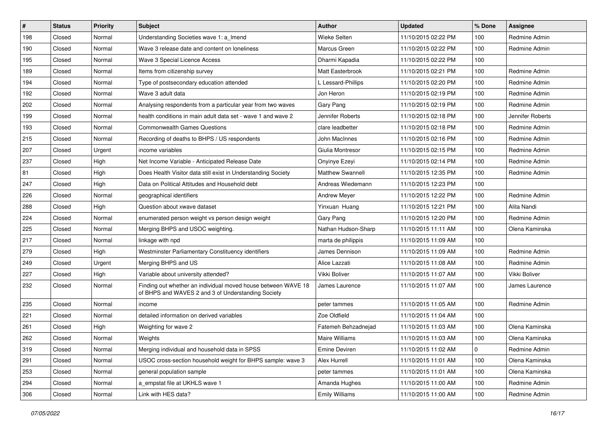| $\sharp$ | <b>Status</b> | <b>Priority</b> | Subject                                                                                                             | Author                  | <b>Updated</b>      | % Done      | <b>Assignee</b>  |
|----------|---------------|-----------------|---------------------------------------------------------------------------------------------------------------------|-------------------------|---------------------|-------------|------------------|
| 198      | Closed        | Normal          | Understanding Societies wave 1: a_Imend                                                                             | <b>Wieke Selten</b>     | 11/10/2015 02:22 PM | 100         | Redmine Admin    |
| 190      | Closed        | Normal          | Wave 3 release date and content on loneliness                                                                       | Marcus Green            | 11/10/2015 02:22 PM | 100         | Redmine Admin    |
| 195      | Closed        | Normal          | Wave 3 Special Licence Access                                                                                       | Dharmi Kapadia          | 11/10/2015 02:22 PM | 100         |                  |
| 189      | Closed        | Normal          | Items from citizenship survey                                                                                       | Matt Easterbrook        | 11/10/2015 02:21 PM | 100         | Redmine Admin    |
| 194      | Closed        | Normal          | Type of postsecondary education attended                                                                            | L Lessard-Phillips      | 11/10/2015 02:20 PM | 100         | Redmine Admin    |
| 192      | Closed        | Normal          | Wave 3 adult data                                                                                                   | Jon Heron               | 11/10/2015 02:19 PM | 100         | Redmine Admin    |
| 202      | Closed        | Normal          | Analysing respondents from a particular year from two waves                                                         | Gary Pang               | 11/10/2015 02:19 PM | 100         | Redmine Admin    |
| 199      | Closed        | Normal          | health conditions in main adult data set - wave 1 and wave 2                                                        | Jennifer Roberts        | 11/10/2015 02:18 PM | 100         | Jennifer Roberts |
| 193      | Closed        | Normal          | <b>Commonwealth Games Questions</b>                                                                                 | clare leadbetter        | 11/10/2015 02:18 PM | 100         | Redmine Admin    |
| 215      | Closed        | Normal          | Recording of deaths to BHPS / US respondents                                                                        | John MacInnes           | 11/10/2015 02:16 PM | 100         | Redmine Admin    |
| 207      | Closed        | Urgent          | income variables                                                                                                    | Giulia Montresor        | 11/10/2015 02:15 PM | 100         | Redmine Admin    |
| 237      | Closed        | High            | Net Income Variable - Anticipated Release Date                                                                      | Onyinye Ezeyi           | 11/10/2015 02:14 PM | 100         | Redmine Admin    |
| 81       | Closed        | High            | Does Health Visitor data still exist in Understanding Society                                                       | <b>Matthew Swannell</b> | 11/10/2015 12:35 PM | 100         | Redmine Admin    |
| 247      | Closed        | High            | Data on Political Attitudes and Household debt                                                                      | Andreas Wiedemann       | 11/10/2015 12:23 PM | 100         |                  |
| 226      | Closed        | Normal          | geographical identifiers                                                                                            | <b>Andrew Meyer</b>     | 11/10/2015 12:22 PM | 100         | Redmine Admin    |
| 288      | Closed        | High            | Question about xwave dataset                                                                                        | Yinxuan Huang           | 11/10/2015 12:21 PM | 100         | Alita Nandi      |
| 224      | Closed        | Normal          | enumerated person weight vs person design weight                                                                    | Gary Pang               | 11/10/2015 12:20 PM | 100         | Redmine Admin    |
| 225      | Closed        | Normal          | Merging BHPS and USOC weighting.                                                                                    | Nathan Hudson-Sharp     | 11/10/2015 11:11 AM | 100         | Olena Kaminska   |
| 217      | Closed        | Normal          | linkage with npd                                                                                                    | marta de philippis      | 11/10/2015 11:09 AM | 100         |                  |
| 279      | Closed        | High            | Westminster Parliamentary Constituency identifiers                                                                  | James Dennison          | 11/10/2015 11:09 AM | 100         | Redmine Admin    |
| 249      | Closed        | Urgent          | Merging BHPS and US                                                                                                 | Alice Lazzati           | 11/10/2015 11:08 AM | 100         | Redmine Admin    |
| 227      | Closed        | High            | Variable about university attended?                                                                                 | Vikki Boliver           | 11/10/2015 11:07 AM | 100         | Vikki Boliver    |
| 232      | Closed        | Normal          | Finding out whether an individual moved house between WAVE 18<br>of BHPS and WAVES 2 and 3 of Understanding Society | James Laurence          | 11/10/2015 11:07 AM | 100         | James Laurence   |
| 235      | Closed        | Normal          | income                                                                                                              | peter tammes            | 11/10/2015 11:05 AM | 100         | Redmine Admin    |
| 221      | Closed        | Normal          | detailed information on derived variables                                                                           | Zoe Oldfield            | 11/10/2015 11:04 AM | 100         |                  |
| 261      | Closed        | High            | Weighting for wave 2                                                                                                | Fatemeh Behzadnejad     | 11/10/2015 11:03 AM | 100         | Olena Kaminska   |
| 262      | Closed        | Normal          | Weights                                                                                                             | Maire Williams          | 11/10/2015 11:03 AM | 100         | Olena Kaminska   |
| 319      | Closed        | Normal          | Merging individual and household data in SPSS                                                                       | Emine Deviren           | 11/10/2015 11:02 AM | $\mathbf 0$ | Redmine Admin    |
| 291      | Closed        | Normal          | USOC cross-section household weight for BHPS sample: wave 3                                                         | Alex Hurrell            | 11/10/2015 11:01 AM | 100         | Olena Kaminska   |
| 253      | Closed        | Normal          | general population sample                                                                                           | peter tammes            | 11/10/2015 11:01 AM | 100         | Olena Kaminska   |
| 294      | Closed        | Normal          | a_empstat file at UKHLS wave 1                                                                                      | Amanda Hughes           | 11/10/2015 11:00 AM | 100         | Redmine Admin    |
| 306      | Closed        | Normal          | Link with HES data?                                                                                                 | <b>Emily Williams</b>   | 11/10/2015 11:00 AM | 100         | Redmine Admin    |